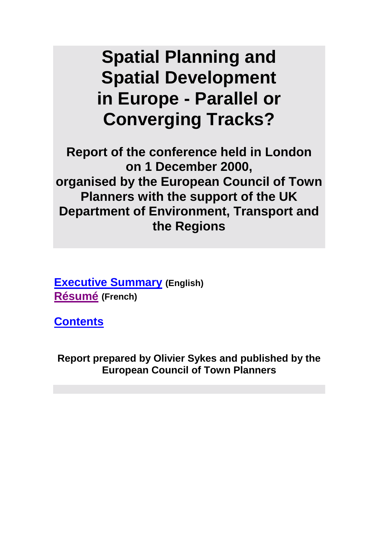# **Spatial Planning and Spatial Development in Europe - Parallel or Converging Tracks?**

**Report of the conference held in London on 1 December 2000, organised by the European Council of Town Planners with the support of the UK Department of Environment, Transport and the Regions** 

**[Executive Summary](#page-1-0) (English) [Résumé](#page-5-0) (French)**

**[Contents](#page-10-0)**

**Report prepared by Olivier Sykes and published by the European Council of Town Planners**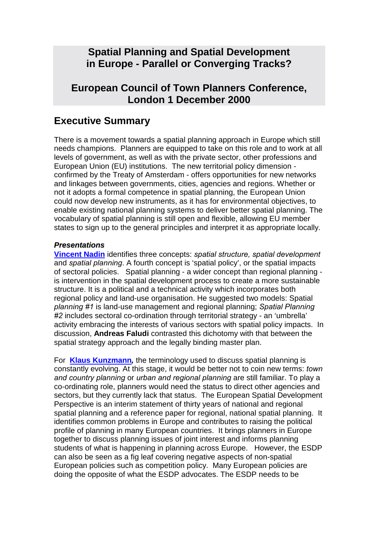# <span id="page-1-0"></span>**Spatial Planning and Spatial Development in Europe - Parallel or Converging Tracks?**

# **European Council of Town Planners Conference, London 1 December 2000**

# **Executive Summary**

There is a movement towards a spatial planning approach in Europe which still needs champions. Planners are equipped to take on this role and to work at all levels of government, as well as with the private sector, other professions and European Union (EU) institutions. The new territorial policy dimension confirmed by the Treaty of Amsterdam - offers opportunities for new networks and linkages between governments, cities, agencies and regions. Whether or not it adopts a formal competence in spatial planning, the European Union could now develop new instruments, as it has for environmental objectives, to enable existing national planning systems to deliver better spatial planning. The vocabulary of spatial planning is still open and flexible, allowing EU member states to sign up to the general principles and interpret it as appropriate locally.

#### *Presentations*

**[Vincent Nadin](#page-12-0)** identifies three concepts: *spatial structure, spatial development*  and *spatial planning*. A fourth concept is 'spatial policy', or the spatial impacts of sectoral policies. Spatial planning - a wider concept than regional planning is intervention in the spatial development process to create a more sustainable structure. It is a political and a technical activity which incorporates both regional policy and land-use organisation. He suggested two models: Spatial *planning #1* is land-use management and regional planning; *Spatial Planning #2* includes sectoral co-ordination through territorial strategy - an 'umbrella' activity embracing the interests of various sectors with spatial policy impacts. In discussion, **Andreas Faludi** contrasted this dichotomy with that between the spatial strategy approach and the legally binding master plan.

For **[Klaus Kunzmann](#page-19-0)***,* the terminology used to discuss spatial planning is constantly evolving. At this stage, it would be better not to coin new terms: *town and country planning* or *urban and regional planning* are still familiar. To play a co-ordinating role, planners would need the status to direct other agencies and sectors, but they currently lack that status. The European Spatial Development Perspective is an interim statement of thirty years of national and regional spatial planning and a reference paper for regional, national spatial planning. It identifies common problems in Europe and contributes to raising the political profile of planning in many European countries. It brings planners in Europe together to discuss planning issues of joint interest and informs planning students of what is happening in planning across Europe. However, the ESDP can also be seen as a fig leaf covering negative aspects of non-spatial European policies such as competition policy. Many European policies are doing the opposite of what the ESDP advocates. The ESDP needs to be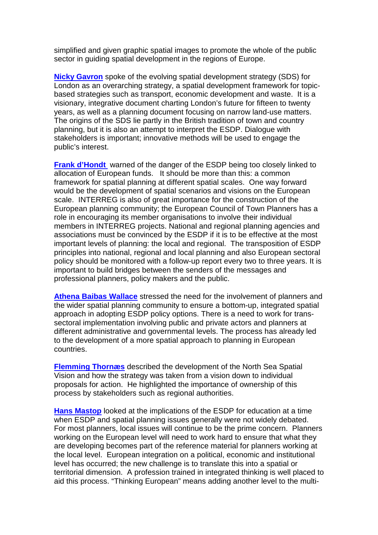simplified and given graphic spatial images to promote the whole of the public sector in guiding spatial development in the regions of Europe.

**[Nicky Gavron](#page-25-0)** spoke of the evolving spatial development strategy (SDS) for London as an overarching strategy, a spatial development framework for topicbased strategies such as transport, economic development and waste. It is a visionary, integrative document charting London's future for fifteen to twenty years, as well as a planning document focusing on narrow land-use matters. The origins of the SDS lie partly in the British tradition of town and country planning, but it is also an attempt to interpret the ESDP. Dialogue with stakeholders is important; innovative methods will be used to engage the public's interest.

**[Frank d'Hondt](#page-33-0)** warned of the danger of the ESDP being too closely linked to allocation of European funds. It should be more than this: a common framework for spatial planning at different spatial scales. One way forward would be the development of spatial scenarios and visions on the European scale. INTERREG is also of great importance for the construction of the European planning community; the European Council of Town Planners has a role in encouraging its member organisations to involve their individual members in INTERREG projects. National and regional planning agencies and associations must be convinced by the ESDP if it is to be effective at the most important levels of planning: the local and regional. The transposition of ESDP principles into national, regional and local planning and also European sectoral policy should be monitored with a follow-up report every two to three years. It is important to build bridges between the senders of the messages and professional planners, policy makers and the public.

**[Athena Baibas Wallace](#page-33-0)** stressed the need for the involvement of planners and the wider spatial planning community to ensure a bottom-up, integrated spatial approach in adopting ESDP policy options. There is a need to work for transsectoral implementation involving public and private actors and planners at different administrative and governmental levels. The process has already led to the development of a more spatial approach to planning in European countries.

**[Flemming Thornæs](#page-41-0)** described the development of the North Sea Spatial Vision and how the strategy was taken from a vision down to individual proposals for action. He highlighted the importance of ownership of this process by stakeholders such as regional authorities.

**[Hans Mastop](#page-46-0)** looked at the implications of the ESDP for education at a time when ESDP and spatial planning issues generally were not widely debated. For most planners, local issues will continue to be the prime concern. Planners working on the European level will need to work hard to ensure that what they are developing becomes part of the reference material for planners working at the local level. European integration on a political, economic and institutional level has occurred; the new challenge is to translate this into a spatial or territorial dimension. A profession trained in integrated thinking is well placed to aid this process. "Thinking European" means adding another level to the multi-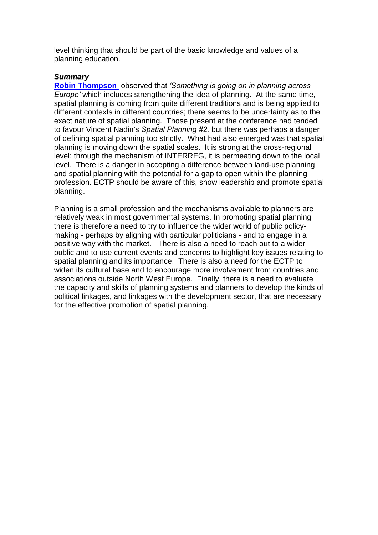level thinking that should be part of the basic knowledge and values of a planning education.

#### *Summary*

**[Robin Thompson](#page-64-0)** observed that *'Something is going on in planning across Europe'* which includes strengthening the idea of planning. At the same time, spatial planning is coming from quite different traditions and is being applied to different contexts in different countries; there seems to be uncertainty as to the exact nature of spatial planning. Those present at the conference had tended to favour Vincent Nadin's *Spatial Planning #2,* but there was perhaps a danger of defining spatial planning too strictly. What had also emerged was that spatial planning is moving down the spatial scales. It is strong at the cross-regional level; through the mechanism of INTERREG, it is permeating down to the local level. There is a danger in accepting a difference between land-use planning and spatial planning with the potential for a gap to open within the planning profession. ECTP should be aware of this, show leadership and promote spatial planning.

Planning is a small profession and the mechanisms available to planners are relatively weak in most governmental systems. In promoting spatial planning there is therefore a need to try to influence the wider world of public policymaking - perhaps by aligning with particular politicians - and to engage in a positive way with the market. There is also a need to reach out to a wider public and to use current events and concerns to highlight key issues relating to spatial planning and its importance. There is also a need for the ECTP to widen its cultural base and to encourage more involvement from countries and associations outside North West Europe. Finally, there is a need to evaluate the capacity and skills of planning systems and planners to develop the kinds of political linkages, and linkages with the development sector, that are necessary for the effective promotion of spatial planning.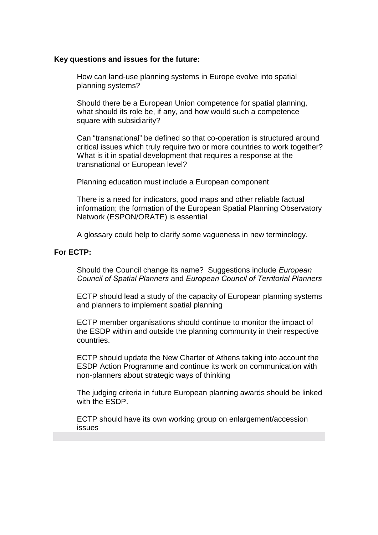#### **Key questions and issues for the future:**

How can land-use planning systems in Europe evolve into spatial planning systems?

Should there be a European Union competence for spatial planning, what should its role be, if any, and how would such a competence square with subsidiarity?

Can "transnational" be defined so that co-operation is structured around critical issues which truly require two or more countries to work together? What is it in spatial development that requires a response at the transnational or European level?

Planning education must include a European component

There is a need for indicators, good maps and other reliable factual information; the formation of the European Spatial Planning Observatory Network (ESPON/ORATE) is essential

A glossary could help to clarify some vagueness in new terminology.

#### **For ECTP:**

Should the Council change its name? Suggestions include *European Council of Spatial Planners* and *European Council of Territorial Planners*

ECTP should lead a study of the capacity of European planning systems and planners to implement spatial planning

ECTP member organisations should continue to monitor the impact of the ESDP within and outside the planning community in their respective countries.

ECTP should update the New Charter of Athens taking into account the ESDP Action Programme and continue its work on communication with non-planners about strategic ways of thinking

The judging criteria in future European planning awards should be linked with the ESDP.

ECTP should have its own working group on enlargement/accession issues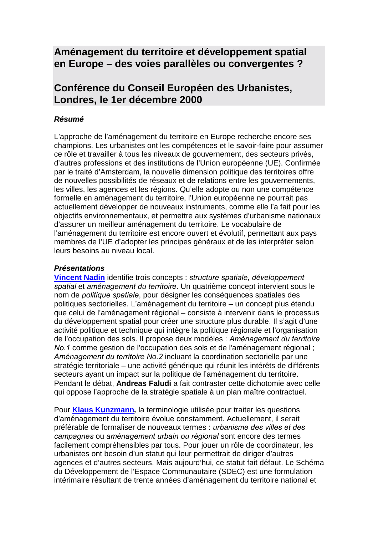# <span id="page-5-0"></span>**Aménagement du territoire et développement spatial en Europe – des voies parallèles ou convergentes ?**

# **Conférence du Conseil Européen des Urbanistes, Londres, le 1er décembre 2000**

#### *Résumé*

L'approche de l'aménagement du territoire en Europe recherche encore ses champions. Les urbanistes ont les compétences et le savoir-faire pour assumer ce rôle et travailler à tous les niveaux de gouvernement, des secteurs privés, d'autres professions et des institutions de l'Union européenne (UE). Confirmée par le traité d'Amsterdam, la nouvelle dimension politique des territoires offre de nouvelles possibilités de réseaux et de relations entre les gouvernements, les villes, les agences et les régions. Qu'elle adopte ou non une compétence formelle en aménagement du territoire, l'Union européenne ne pourrait pas actuellement développer de nouveaux instruments, comme elle l'a fait pour les objectifs environnementaux, et permettre aux systèmes d'urbanisme nationaux d'assurer un meilleur aménagement du territoire. Le vocabulaire de l'aménagement du territoire est encore ouvert et évolutif, permettant aux pays membres de l'UE d'adopter les principes généraux et de les interpréter selon leurs besoins au niveau local.

#### *Présentations*

**[Vincent Nadin](#page-12-0)** identifie trois concepts : *structure spatiale, dÈveloppement spatial* et *amÈnagement du territoire*. Un quatrième concept intervient sous le nom de *politique spatiale*, pour désigner les conséquences spatiales des politiques sectorielles. L'aménagement du territoire – un concept plus étendu que celui de l'aménagement régional – consiste à intervenir dans le processus du développement spatial pour créer une structure plus durable. Il s'agit d'une activité politique et technique qui intègre la politique régionale et l'organisation de l'occupation des sols. Il propose deux modèles : *AmÈnagement du territoire No.1* comme gestion de l'occupation des sols et de l'aménagement régional ; *AmÈnagement du territoire No.2* incluant la coordination sectorielle par une stratégie territoriale – une activité générique qui réunit les intérêts de différents secteurs avant un impact sur la politique de l'aménagement du territoire. Pendant le débat, **Andreas Faludi** a fait contraster cette dichotomie avec celle qui oppose l'approche de la stratégie spatiale à un plan maître contractuel.

Pour **[Klaus Kunzmann](#page-19-0)***,* la terminologie utilisée pour traiter les questions d'aménagement du territoire évolue constamment. Actuellement, il serait préférable de formaliser de nouveaux termes : *urbanisme des villes et des campagnes* ou *amÈnagement urbain ou rÈgional* sont encore des termes facilement compréhensibles par tous. Pour jouer un rôle de coordinateur, les urbanistes ont besoin d'un statut qui leur permettrait de diriger d'autres agences et d'autres secteurs. Mais aujourd'hui, ce statut fait défaut. Le Schéma du Développement de l'Espace Communautaire (SDEC) est une formulation intérimaire résultant de trente années d'aménagement du territoire national et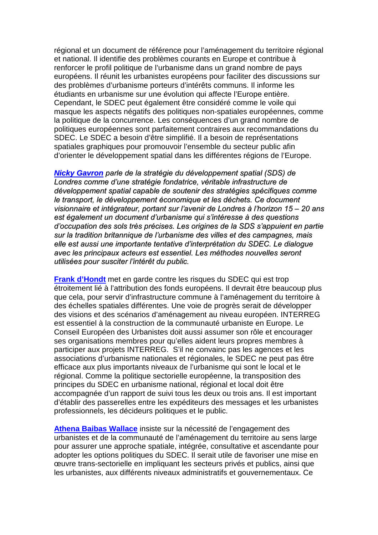régional et un document de référence pour l'aménagement du territoire régional et national. Il identifie des problèmes courants en Europe et contribue à renforcer le profil politique de l'urbanisme dans un grand nombre de pays européens. Il réunit les urbanistes européens pour faciliter des discussions sur des problèmes d'urbanisme porteurs d'intérêts communs. Il informe les étudiants en urbanisme sur une évolution qui affecte l'Europe entière. Cependant, le SDEC peut également être considéré comme le voile qui masque les aspects négatifs des politiques non-spatiales européennes, comme la politique de la concurrence. Les conséquences d'un grand nombre de politiques européennes sont parfaitement contraires aux recommandations du SDEC. Le SDEC a besoin d'être simplifié. Il a besoin de représentations spatiales graphiques pour promouvoir l'ensemble du secteur public afin d'orienter le développement spatial dans les différentes régions de l'Europe.

*Nicky [Gavron](#page-25-0) parle de la stratÈgie du dÈveloppement spatial (SDS) de Londres comme díune stratÈgie fondatrice, vÈritable infrastructure de dÈveloppement spatial capable de soutenir des stratÈgies spÈcifiques comme le transport, le dÈveloppement Èconomique et les dÈchets. Ce document visionnaire et intÈgrateur, portant sur líavenir de Londres ‡ líhorizon 15 ñ 20 ans est Ègalement un document díurbanisme qui síintÈresse ‡ des questions díoccupation des sols trËs prÈcises. Les origines de la SDS síappuient en partie sur la tradition britannique de líurbanisme des villes et des campagnes, mais elle est aussi une importante tentative díinterprÈtation du SDEC. Le dialogue avec les principaux acteurs est essentiel. Les mÈthodes nouvelles seront utilisées pour susciter l'intérêt du public.* 

**[Frank d'Hondt](#page-33-0)** met en garde contre les risques du SDEC qui est trop étroitement lié à l'attribution des fonds européens. Il devrait être beaucoup plus que cela, pour servir d'infrastructure commune à l'aménagement du territoire à des échelles spatiales différentes. Une voie de progrès serait de développer des visions et des scénarios d'aménagement au niveau européen. INTERREG est essentiel à la construction de la communauté urbaniste en Europe. Le Conseil Européen des Urbanistes doit aussi assumer son rôle et encourager ses organisations membres pour qu'elles aident leurs propres membres à participer aux projets INTERREG. S'il ne convainc pas les agences et les associations d'urbanisme nationales et régionales, le SDEC ne peut pas être efficace aux plus importants niveaux de l'urbanisme qui sont le local et le régional. Comme la politique sectorielle européenne, la transposition des principes du SDEC en urbanisme national, régional et local doit être accompagnée d'un rapport de suivi tous les deux ou trois ans. Il est important d'établir des passerelles entre les expéditeurs des messages et les urbanistes professionnels, les décideurs politiques et le public.

**[Athena Baibas Wallace](#page-37-0)** insiste sur la nécessité de l'engagement des urbanistes et de la communauté de l'aménagement du territoire au sens large pour assurer une approche spatiale, intégrée, consultative et ascendante pour adopter les options politiques du SDEC. Il serait utile de favoriser une mise en œuvre trans-sectorielle en impliquant les secteurs privés et publics, ainsi que les urbanistes, aux différents niveaux administratifs et gouvernementaux. Ce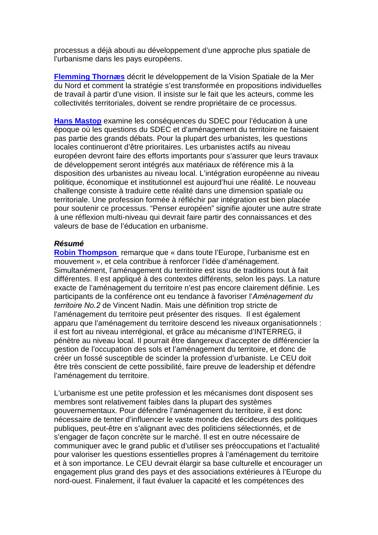processus a déjà abouti au développement d'une approche plus spatiale de l'urbanisme dans les pays européens.

**[Flemming Thornæs](#page-41-0)** décrit le développement de la Vision Spatiale de la Mer du Nord et comment la stratégie s'est transformée en propositions individuelles de travail à partir d'une vision. Il insiste sur le fait que les acteurs, comme les collectivités territoriales, doivent se rendre propriétaire de ce processus.

**[Hans Mastop](#page-46-0)** examine les conséquences du SDEC pour l'éducation à une époque où les questions du SDEC et d'aménagement du territoire ne faisaient pas partie des grands débats. Pour la plupart des urbanistes, les questions locales continueront d'être prioritaires. Les urbanistes actifs au niveau européen devront faire des efforts importants pour s'assurer que leurs travaux de développement seront intégrés aux matériaux de référence mis à la disposition des urbanistes au niveau local. L'intégration européenne au niveau politique, économique et institutionnel est aujourd'hui une réalité. Le nouveau challenge consiste à traduire cette réalité dans une dimension spatiale ou territoriale. Une profession formée à réfléchir par intégration est bien placée pour soutenir ce processus. "Penser européen" signifie ajouter une autre strate à une réflexion multi-niveau qui devrait faire partir des connaissances et des valeurs de base de l'éducation en urbanisme.

#### *Résumé*

**[Robin Thompson](#page-64-0)** remarque que « dans toute l'Europe, l'urbanisme est en mouvement », et cela contribue à renforcer l'idée d'aménagement. Simultanément, l'aménagement du territoire est issu de traditions tout à fait différentes. Il est appliqué à des contextes différents, selon les pays. La nature exacte de l'aménagement du territoire n'est pas encore clairement définie. Les participants de la conférence ont eu tendance à favoriser l'*AmÈnagement du territoire No.2* de Vincent Nadin. Mais une définition trop stricte de l'aménagement du territoire peut présenter des risques. Il est également apparu que l'aménagement du territoire descend les niveaux organisationnels : il est fort au niveau interrégional, et grâce au mécanisme d'INTERREG, il pénètre au niveau local. Il pourrait être dangereux d'accepter de différencier la gestion de l'occupation des sols et l'aménagement du territoire, et donc de créer un fossé susceptible de scinder la profession d'urbaniste. Le CEU doit être très conscient de cette possibilité, faire preuve de leadership et défendre l'aménagement du territoire.

L'urbanisme est une petite profession et les mécanismes dont disposent ses membres sont relativement faibles dans la plupart des systèmes gouvernementaux. Pour défendre l'aménagement du territoire, il est donc nécessaire de tenter d'influencer le vaste monde des décideurs des politiques publiques, peut-être en s'alignant avec des politiciens sélectionnés, et de s'engager de façon concrète sur le marché. Il est en outre nécessaire de communiquer avec le grand public et d'utiliser ses préoccupations et l'actualité pour valoriser les questions essentielles propres à l'aménagement du territoire et à son importance. Le CEU devrait élargir sa base culturelle et encourager un engagement plus grand des pays et des associations extérieures à l'Europe du nord-ouest. Finalement, il faut évaluer la capacité et les compétences des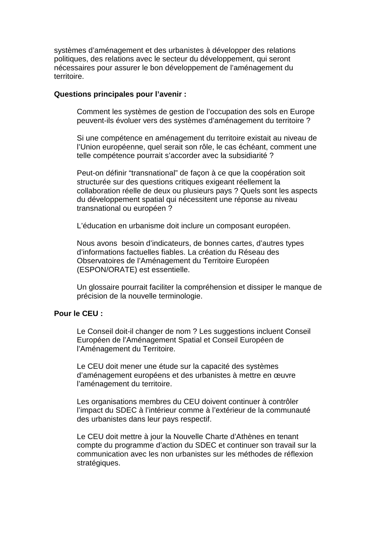systèmes d'aménagement et des urbanistes à développer des relations politiques, des relations avec le secteur du développement, qui seront nécessaires pour assurer le bon développement de l'aménagement du territoire.

#### **Questions principales pour l'avenir :**

Comment les systèmes de gestion de l'occupation des sols en Europe peuvent-ils évoluer vers des systèmes d'aménagement du territoire ?

Si une compétence en aménagement du territoire existait au niveau de l'Union européenne, quel serait son rôle, le cas échéant, comment une telle compétence pourrait s'accorder avec la subsidiarité ?

Peut-on définir "transnational" de façon à ce que la coopération soit structurée sur des questions critiques exigeant réellement la collaboration réelle de deux ou plusieurs pays ? Quels sont les aspects du développement spatial qui nécessitent une réponse au niveau transnational ou européen ?

L'éducation en urbanisme doit inclure un composant européen.

Nous avons besoin d'indicateurs, de bonnes cartes, d'autres types d'informations factuelles fiables. La création du Réseau des Observatoires de l'Aménagement du Territoire Européen (ESPON/ORATE) est essentielle.

Un glossaire pourrait faciliter la compréhension et dissiper le manque de précision de la nouvelle terminologie.

#### **Pour le CEU :**

Le Conseil doit-il changer de nom ? Les suggestions incluent Conseil Européen de l'Aménagement Spatial et Conseil Européen de l'Aménagement du Territoire*.*

Le CEU doit mener une étude sur la capacité des systèmes d'aménagement européens et des urbanistes à mettre en œuvre l'aménagement du territoire.

Les organisations membres du CEU doivent continuer à contrôler l'impact du SDEC à l'intérieur comme à l'extérieur de la communauté des urbanistes dans leur pays respectif.

Le CEU doit mettre à jour la Nouvelle Charte d'Athènes en tenant compte du programme d'action du SDEC et continuer son travail sur la communication avec les non urbanistes sur les méthodes de réflexion stratégiques.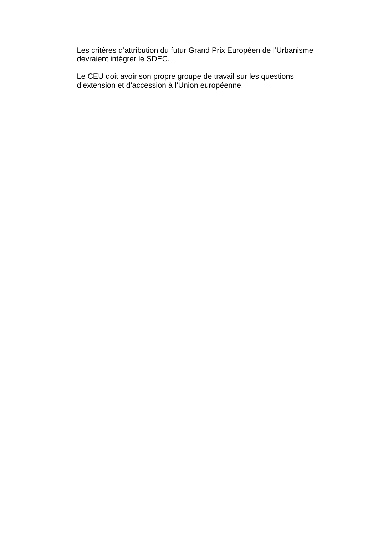Les critères d'attribution du futur Grand Prix Européen de l'Urbanisme devraient intégrer le SDEC.

Le CEU doit avoir son propre groupe de travail sur les questions d'extension et d'accession à l'Union européenne.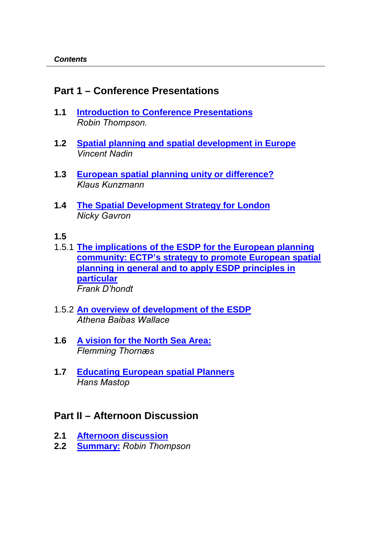# <span id="page-10-0"></span>**Part 1 – Conference Presentations**

- **1.1 [Introduction to Conference Presentations](#page-11-0)** *Robin Thompson.*
- **1.2 [Spatial planning and spatial development in Europe](#page-12-0)** *Vincent Nadin*
- **1.3 [European spatial planning unity or difference?](#page-19-0)** *Klaus Kunzmann*
- **1.4 [The Spatial Development Strategy for London](#page-25-0)** *Nicky Gavron*
- **1.5**
- 1.5.1 **[The implications of the ESDP for the European planning](#page-34-0)  [community: ECTP's strategy to promote European spatial](#page-34-0)  [planning in general and to apply ESDP principles in](#page-34-0)  [particular](#page-34-0)** *Frank Díhondt*
- 1.5.2 **[An overview of development of the ESDP](#page-37-0)** *Athena Baibas Wallace*
- **1.6 [A vision for the North Sea Area:](#page-41-0)** *Flemming Thornæs*
- **1.7 [Educating European spatial Planners](#page-46-0)** *Hans Mastop*

# **Part II – Afternoon Discussion**

- **2.1 [Afternoon discussion](#page-52-0)**
- **2.2 [Summary:](#page-64-0)** *Robin Thompson*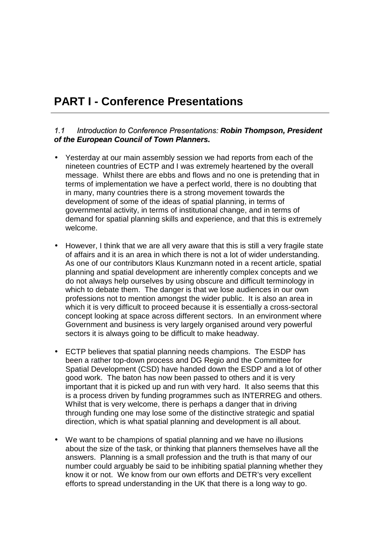# <span id="page-11-0"></span>**PART I - Conference Presentations**

#### *1.1 Introduction to Conference Presentations: Robin Thompson, President of the European Council of Town Planners.*

- Yesterday at our main assembly session we had reports from each of the nineteen countries of ECTP and I was extremely heartened by the overall message. Whilst there are ebbs and flows and no one is pretending that in terms of implementation we have a perfect world, there is no doubting that in many, many countries there is a strong movement towards the development of some of the ideas of spatial planning, in terms of governmental activity, in terms of institutional change, and in terms of demand for spatial planning skills and experience, and that this is extremely welcome.
- However, I think that we are all very aware that this is still a very fragile state of affairs and it is an area in which there is not a lot of wider understanding. As one of our contributors Klaus Kunzmann noted in a recent article, spatial planning and spatial development are inherently complex concepts and we do not always help ourselves by using obscure and difficult terminology in which to debate them. The danger is that we lose audiences in our own professions not to mention amongst the wider public. It is also an area in which it is very difficult to proceed because it is essentially a cross-sectoral concept looking at space across different sectors. In an environment where Government and business is very largely organised around very powerful sectors it is always going to be difficult to make headway.
- ECTP believes that spatial planning needs champions. The ESDP has been a rather top-down process and DG Regio and the Committee for Spatial Development (CSD) have handed down the ESDP and a lot of other good work. The baton has now been passed to others and it is very important that it is picked up and run with very hard. It also seems that this is a process driven by funding programmes such as INTERREG and others. Whilst that is very welcome, there is perhaps a danger that in driving through funding one may lose some of the distinctive strategic and spatial direction, which is what spatial planning and development is all about.
- We want to be champions of spatial planning and we have no illusions about the size of the task, or thinking that planners themselves have all the answers. Planning is a small profession and the truth is that many of our number could arguably be said to be inhibiting spatial planning whether they know it or not. We know from our own efforts and DETR's very excellent efforts to spread understanding in the UK that there is a long way to go.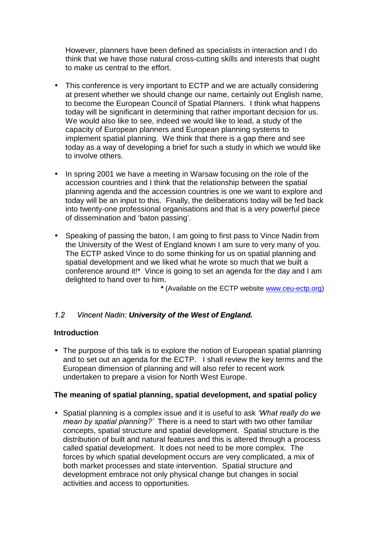<span id="page-12-0"></span>However, planners have been defined as specialists in interaction and I do think that we have those natural cross-cutting skills and interests that ought to make us central to the effort.

- This conference is very important to ECTP and we are actually considering at present whether we should change our name, certainly out English name, to become the European Council of Spatial Planners. I think what happens today will be significant in determining that rather important decision for us. We would also like to see, indeed we would like to lead, a study of the capacity of European planners and European planning systems to implement spatial planning. We think that there is a gap there and see today as a way of developing a brief for such a study in which we would like to involve others.
- In spring 2001 we have a meeting in Warsaw focusing on the role of the accession countries and I think that the relationship between the spatial planning agenda and the accession countries is one we want to explore and today will be an input to this. Finally, the deliberations today will be fed back into twenty-one professional organisations and that is a very powerful piece of dissemination and 'baton passing'.
- Speaking of passing the baton, I am going to first pass to Vince Nadin from the University of the West of England known I am sure to very many of you. The ECTP asked Vince to do some thinking for us on spatial planning and spatial development and we liked what he wrote so much that we built a conference around it!\* Vince is going to set an agenda for the day and I am delighted to hand over to him.

**\*** (Available on the ECTP website www.ceu-ectp.org)

## *1.2 Vincent Nadin: University of the West of England.*

## **Introduction**

• The purpose of this talk is to explore the notion of European spatial planning and to set out an agenda for the ECTP. I shall review the key terms and the European dimension of planning and will also refer to recent work undertaken to prepare a vision for North West Europe.

#### **The meaning of spatial planning, spatial development, and spatial policy**

• Spatial planning is a complex issue and it is useful to ask *ëWhat really do we mean by spatial planning?í* There is a need to start with two other familiar concepts, spatial structure and spatial development. Spatial structure is the distribution of built and natural features and this is altered through a process called spatial development. It does not need to be more complex. The forces by which spatial development occurs are very complicated, a mix of both market processes and state intervention. Spatial structure and development embrace not only physical change but changes in social activities and access to opportunities.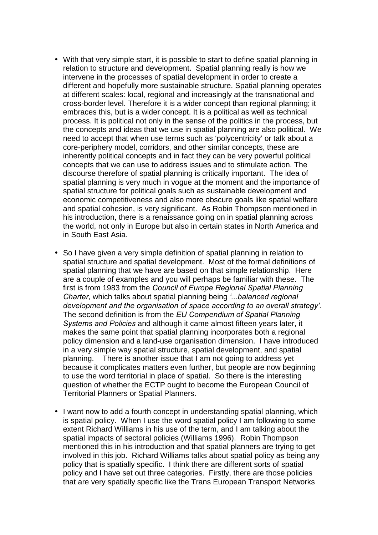- With that very simple start, it is possible to start to define spatial planning in relation to structure and development. Spatial planning really is how we intervene in the processes of spatial development in order to create a different and hopefully more sustainable structure. Spatial planning operates at different scales: local, regional and increasingly at the transnational and cross-border level. Therefore it is a wider concept than regional planning; it embraces this, but is a wider concept. It is a political as well as technical process. It is political not only in the sense of the politics in the process, but the concepts and ideas that we use in spatial planning are also political. We need to accept that when use terms such as 'polycentricity' or talk about a core-periphery model, corridors, and other similar concepts, these are inherently political concepts and in fact they can be very powerful political concepts that we can use to address issues and to stimulate action. The discourse therefore of spatial planning is critically important. The idea of spatial planning is very much in vogue at the moment and the importance of spatial structure for political goals such as sustainable development and economic competitiveness and also more obscure goals like spatial welfare and spatial cohesion, is very significant. As Robin Thompson mentioned in his introduction, there is a renaissance going on in spatial planning across the world, not only in Europe but also in certain states in North America and in South East Asia.
- So I have given a very simple definition of spatial planning in relation to spatial structure and spatial development. Most of the formal definitions of spatial planning that we have are based on that simple relationship. Here are a couple of examples and you will perhaps be familiar with these. The first is from 1983 from the *Council of Europe Regional Spatial Planning Charter*, which talks about spatial planning being *ë...balanced regional development and the organisation of space according to an overall strategyí.* The second definition is from the *EU Compendium of Spatial Planning Systems and Policies* and although it came almost fifteen years later, it makes the same point that spatial planning incorporates both a regional policy dimension and a land-use organisation dimension. I have introduced in a very simple way spatial structure, spatial development, and spatial planning. There is another issue that I am not going to address yet because it complicates matters even further, but people are now beginning to use the word territorial in place of spatial. So there is the interesting question of whether the ECTP ought to become the European Council of Territorial Planners or Spatial Planners.
- I want now to add a fourth concept in understanding spatial planning, which is spatial policy. When I use the word spatial policy I am following to some extent Richard Williams in his use of the term, and I am talking about the spatial impacts of sectoral policies (Williams 1996). Robin Thompson mentioned this in his introduction and that spatial planners are trying to get involved in this job. Richard Williams talks about spatial policy as being any policy that is spatially specific. I think there are different sorts of spatial policy and I have set out three categories. Firstly, there are those policies that are very spatially specific like the Trans European Transport Networks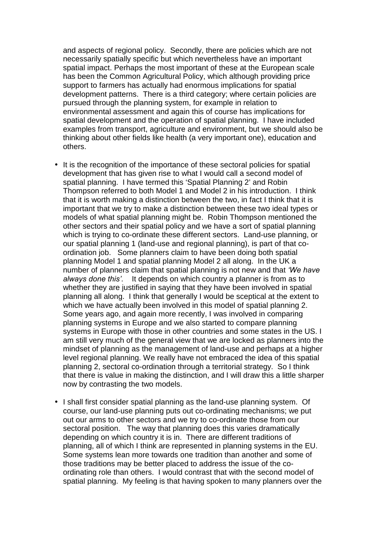and aspects of regional policy. Secondly, there are policies which are not necessarily spatially specific but which nevertheless have an important spatial impact. Perhaps the most important of these at the European scale has been the Common Agricultural Policy, which although providing price support to farmers has actually had enormous implications for spatial development patterns. There is a third category; where certain policies are pursued through the planning system, for example in relation to environmental assessment and again this of course has implications for spatial development and the operation of spatial planning. I have included examples from transport, agriculture and environment, but we should also be thinking about other fields like health (a very important one), education and others.

- It is the recognition of the importance of these sectoral policies for spatial development that has given rise to what I would call a second model of spatial planning. I have termed this 'Spatial Planning 2' and Robin Thompson referred to both Model 1 and Model 2 in his introduction. I think that it is worth making a distinction between the two, in fact I think that it is important that we try to make a distinction between these two ideal types or models of what spatial planning might be. Robin Thompson mentioned the other sectors and their spatial policy and we have a sort of spatial planning which is trying to co-ordinate these different sectors. Land-use planning, or our spatial planning 1 (land-use and regional planning), is part of that coordination job. Some planners claim to have been doing both spatial planning Model 1 and spatial planning Model 2 all along. In the UK a number of planners claim that spatial planning is not new and that *ëWe have always done thisí*. It depends on which country a planner is from as to whether they are justified in saying that they have been involved in spatial planning all along. I think that generally I would be sceptical at the extent to which we have actually been involved in this model of spatial planning 2. Some years ago, and again more recently, I was involved in comparing planning systems in Europe and we also started to compare planning systems in Europe with those in other countries and some states in the US. I am still very much of the general view that we are locked as planners into the mindset of planning as the management of land-use and perhaps at a higher level regional planning. We really have not embraced the idea of this spatial planning 2, sectoral co-ordination through a territorial strategy. So I think that there is value in making the distinction, and I will draw this a little sharper now by contrasting the two models.
- I shall first consider spatial planning as the land-use planning system. Of course, our land-use planning puts out co-ordinating mechanisms; we put out our arms to other sectors and we try to co-ordinate those from our sectoral position. The way that planning does this varies dramatically depending on which country it is in. There are different traditions of planning, all of which I think are represented in planning systems in the EU. Some systems lean more towards one tradition than another and some of those traditions may be better placed to address the issue of the coordinating role than others. I would contrast that with the second model of spatial planning. My feeling is that having spoken to many planners over the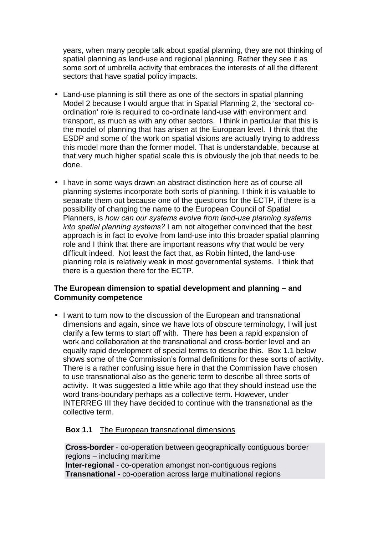years, when many people talk about spatial planning, they are not thinking of spatial planning as land-use and regional planning. Rather they see it as some sort of umbrella activity that embraces the interests of all the different sectors that have spatial policy impacts.

- Land-use planning is still there as one of the sectors in spatial planning Model 2 because I would arque that in Spatial Planning 2, the 'sectoral coordination' role is required to co-ordinate land-use with environment and transport, as much as with any other sectors. I think in particular that this is the model of planning that has arisen at the European level. I think that the ESDP and some of the work on spatial visions are actually trying to address this model more than the former model. That is understandable, because at that very much higher spatial scale this is obviously the job that needs to be done.
- I have in some ways drawn an abstract distinction here as of course all planning systems incorporate both sorts of planning. I think it is valuable to separate them out because one of the questions for the ECTP, if there is a possibility of changing the name to the European Council of Spatial Planners, is *how can our systems evolve from land-use planning systems into spatial planning systems?* I am not altogether convinced that the best approach is in fact to evolve from land-use into this broader spatial planning role and I think that there are important reasons why that would be very difficult indeed. Not least the fact that, as Robin hinted, the land-use planning role is relatively weak in most governmental systems. I think that there is a question there for the ECTP.

#### **The European dimension to spatial development and planning – and Community competence**

• I want to turn now to the discussion of the European and transnational dimensions and again, since we have lots of obscure terminology, I will just clarify a few terms to start off with. There has been a rapid expansion of work and collaboration at the transnational and cross-border level and an equally rapid development of special terms to describe this. Box 1.1 below shows some of the Commission's formal definitions for these sorts of activity. There is a rather confusing issue here in that the Commission have chosen to use transnational also as the generic term to describe all three sorts of activity. It was suggested a little while ago that they should instead use the word trans-boundary perhaps as a collective term. However, under INTERREG III they have decided to continue with the transnational as the collective term.

#### **Box 1.1** The European transnational dimensions

**Cross-border** - co-operation between geographically contiguous border regions – including maritime **Inter-regional** - co-operation amongst non-contiguous regions **Transnational** - co-operation across large multinational regions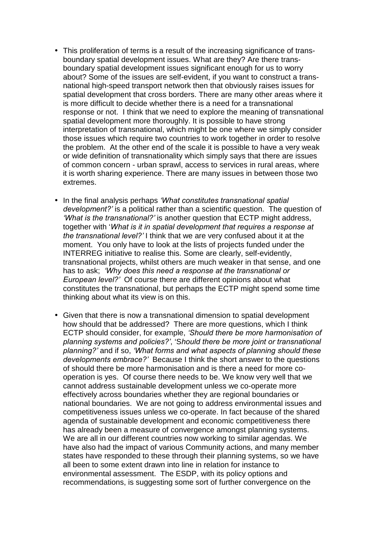- This proliferation of terms is a result of the increasing significance of transboundary spatial development issues. What are they? Are there transboundary spatial development issues significant enough for us to worry about? Some of the issues are self-evident, if you want to construct a transnational high-speed transport network then that obviously raises issues for spatial development that cross borders. There are many other areas where it is more difficult to decide whether there is a need for a transnational response or not. I think that we need to explore the meaning of transnational spatial development more thoroughly. It is possible to have strong interpretation of transnational, which might be one where we simply consider those issues which require two countries to work together in order to resolve the problem. At the other end of the scale it is possible to have a very weak or wide definition of transnationality which simply says that there are issues of common concern - urban sprawl, access to services in rural areas, where it is worth sharing experience. There are many issues in between those two extremes.
- In the final analysis perhaps *ëWhat constitutes transnational spatial development?'* is a political rather than a scientific question. The question of *ëWhat is the transnational?í* is another question that ECTP might address, together with '*What is it in spatial development that requires a response at the transnational level?í* I think that we are very confused about it at the moment. You only have to look at the lists of projects funded under the INTERREG initiative to realise this. Some are clearly, self-evidently, transnational projects, whilst others are much weaker in that sense, and one has to ask; *ëWhy does this need a response at the transnational or European level?í* Of course there are different opinions about what constitutes the transnational, but perhaps the ECTP might spend some time thinking about what its view is on this.
- Given that there is now a transnational dimension to spatial development how should that be addressed? There are more questions, which I think ECTP should consider, for example, *ëShould there be more harmonisation of planning systems and policies?í*, 'S*hould there be more joint or transnational planning?í* and if so, *ëWhat forms and what aspects of planning should these developments embrace?í* Because I think the short answer to the questions of should there be more harmonisation and is there a need for more cooperation is yes. Of course there needs to be. We know very well that we cannot address sustainable development unless we co-operate more effectively across boundaries whether they are regional boundaries or national boundaries. We are not going to address environmental issues and competitiveness issues unless we co-operate. In fact because of the shared agenda of sustainable development and economic competitiveness there has already been a measure of convergence amongst planning systems. We are all in our different countries now working to similar agendas. We have also had the impact of various Community actions, and many member states have responded to these through their planning systems, so we have all been to some extent drawn into line in relation for instance to environmental assessment. The ESDP, with its policy options and recommendations, is suggesting some sort of further convergence on the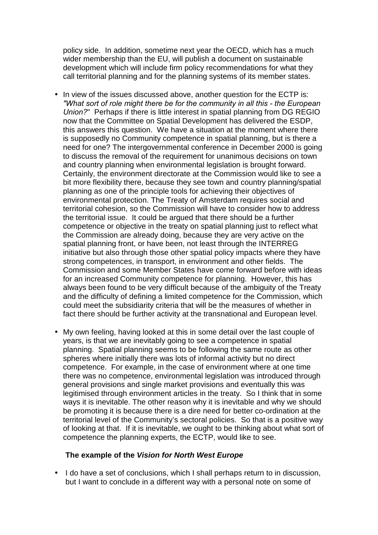policy side. In addition, sometime next year the OECD, which has a much wider membership than the EU, will publish a document on sustainable development which will include firm policy recommendations for what they call territorial planning and for the planning systems of its member states.

- In view of the issues discussed above, another question for the ECTP is: *"What sort of role might there be for the community in all this - the European Union?*"Perhaps if there is little interest in spatial planning from DG REGIO now that the Committee on Spatial Development has delivered the ESDP, this answers this question. We have a situation at the moment where there is supposedly no Community competence in spatial planning, but is there a need for one? The intergovernmental conference in December 2000 is going to discuss the removal of the requirement for unanimous decisions on town and country planning when environmental legislation is brought forward. Certainly, the environment directorate at the Commission would like to see a bit more flexibility there, because they see town and country planning/spatial planning as one of the principle tools for achieving their objectives of environmental protection. The Treaty of Amsterdam requires social and territorial cohesion, so the Commission will have to consider how to address the territorial issue. It could be argued that there should be a further competence or objective in the treaty on spatial planning just to reflect what the Commission are already doing, because they are very active on the spatial planning front, or have been, not least through the INTERREG initiative but also through those other spatial policy impacts where they have strong competences, in transport, in environment and other fields. The Commission and some Member States have come forward before with ideas for an increased Community competence for planning. However, this has always been found to be very difficult because of the ambiguity of the Treaty and the difficulty of defining a limited competence for the Commission, which could meet the subsidiarity criteria that will be the measures of whether in fact there should be further activity at the transnational and European level.
- My own feeling, having looked at this in some detail over the last couple of years, is that we are inevitably going to see a competence in spatial planning. Spatial planning seems to be following the same route as other spheres where initially there was lots of informal activity but no direct competence. For example, in the case of environment where at one time there was no competence, environmental legislation was introduced through general provisions and single market provisions and eventually this was legitimised through environment articles in the treaty. So I think that in some ways it is inevitable. The other reason why it is inevitable and why we should be promoting it is because there is a dire need for better co-ordination at the territorial level of the Community's sectoral policies. So that is a positive way of looking at that. If it is inevitable, we ought to be thinking about what sort of competence the planning experts, the ECTP, would like to see.

#### **The example of the** *Vision for North West Europe*

• I do have a set of conclusions, which I shall perhaps return to in discussion, but I want to conclude in a different way with a personal note on some of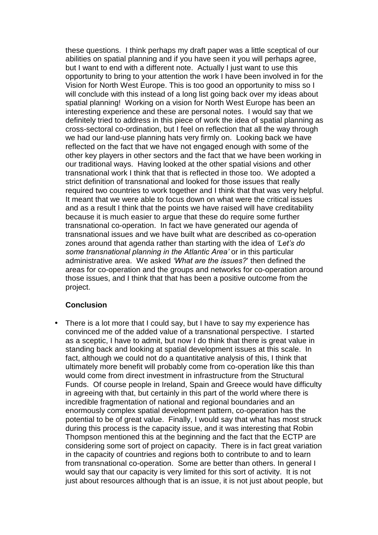these questions. I think perhaps my draft paper was a little sceptical of our abilities on spatial planning and if you have seen it you will perhaps agree, but I want to end with a different note. Actually I just want to use this opportunity to bring to your attention the work I have been involved in for the Vision for North West Europe. This is too good an opportunity to miss so I will conclude with this instead of a long list going back over my ideas about spatial planning! Working on a vision for North West Europe has been an interesting experience and these are personal notes. I would say that we definitely tried to address in this piece of work the idea of spatial planning as cross-sectoral co-ordination, but I feel on reflection that all the way through we had our land-use planning hats very firmly on. Looking back we have reflected on the fact that we have not engaged enough with some of the other key players in other sectors and the fact that we have been working in our traditional ways. Having looked at the other spatial visions and other transnational work I think that that is reflected in those too. We adopted a strict definition of transnational and looked for those issues that really required two countries to work together and I think that that was very helpful. It meant that we were able to focus down on what were the critical issues and as a result I think that the points we have raised will have creditability because it is much easier to argue that these do require some further transnational co-operation. In fact we have generated our agenda of transnational issues and we have built what are described as co-operation zones around that agenda rather than starting with the idea of *ëLetís do some transnational planning in the Atlantic Areaí* or in this particular administrative area. We asked *ëWhat are the issues?*' then defined the areas for co-operation and the groups and networks for co-operation around those issues, and I think that that has been a positive outcome from the project.

## **Conclusion**

• There is a lot more that I could say, but I have to say my experience has convinced me of the added value of a transnational perspective. I started as a sceptic, I have to admit, but now I do think that there is great value in standing back and looking at spatial development issues at this scale. In fact, although we could not do a quantitative analysis of this, I think that ultimately more benefit will probably come from co-operation like this than would come from direct investment in infrastructure from the Structural Funds. Of course people in Ireland, Spain and Greece would have difficulty in agreeing with that, but certainly in this part of the world where there is incredible fragmentation of national and regional boundaries and an enormously complex spatial development pattern, co-operation has the potential to be of great value. Finally, I would say that what has most struck during this process is the capacity issue, and it was interesting that Robin Thompson mentioned this at the beginning and the fact that the ECTP are considering some sort of project on capacity. There is in fact great variation in the capacity of countries and regions both to contribute to and to learn from transnational co-operation. Some are better than others. In general I would say that our capacity is very limited for this sort of activity. It is not just about resources although that is an issue, it is not just about people, but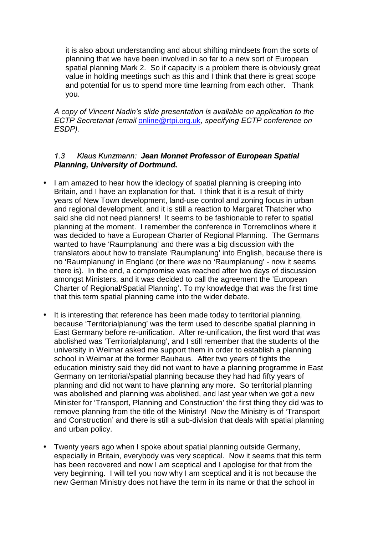<span id="page-19-0"></span>it is also about understanding and about shifting mindsets from the sorts of planning that we have been involved in so far to a new sort of European spatial planning Mark 2. So if capacity is a problem there is obviously great value in holding meetings such as this and I think that there is great scope and potential for us to spend more time learning from each other. Thank you.

*A copy of Vincent Nadinís slide presentation is available on application to the ECTP Secretariat (email* [online@rtpi.org.uk](mailto:online@rtpi.org.uk)*, specifying ECTP conference on ESDP).* 

#### *1.3 Klaus Kunzmann: Jean Monnet Professor of European Spatial Planning, University of Dortmund.*

- I am amazed to hear how the ideology of spatial planning is creeping into Britain, and I have an explanation for that. I think that it is a result of thirty years of New Town development, land-use control and zoning focus in urban and regional development, and it is still a reaction to Margaret Thatcher who said she did not need planners! It seems to be fashionable to refer to spatial planning at the moment. I remember the conference in Torremolinos where it was decided to have a European Charter of Regional Planning. The Germans wanted to have 'Raumplanung' and there was a big discussion with the translators about how to translate 'Raumplanung' into English, because there is no 'Raumplanung' in England (or there *was* no 'Raumplanung' - now it seems there is). In the end, a compromise was reached after two days of discussion amongst Ministers, and it was decided to call the agreement the 'European Charter of Regional/Spatial Planning'. To my knowledge that was the first time that this term spatial planning came into the wider debate.
- It is interesting that reference has been made today to territorial planning, because 'Territorialplanung' was the term used to describe spatial planning in East Germany before re-unification. After re-unification, the first word that was abolished was 'Territorialplanung', and I still remember that the students of the university in Weimar asked me support them in order to establish a planning school in Weimar at the former Bauhaus. After two years of fights the education ministry said they did not want to have a planning programme in East Germany on territorial/spatial planning because they had had fifty years of planning and did not want to have planning any more. So territorial planning was abolished and planning was abolished, and last year when we got a new Minister for 'Transport, Planning and Construction' the first thing they did was to remove planning from the title of the Ministry! Now the Ministry is of 'Transport and Construction' and there is still a sub-division that deals with spatial planning and urban policy.
- Twenty years ago when I spoke about spatial planning outside Germany, especially in Britain, everybody was very sceptical. Now it seems that this term has been recovered and now I am sceptical and I apologise for that from the very beginning. I will tell you now why I am sceptical and it is not because the new German Ministry does not have the term in its name or that the school in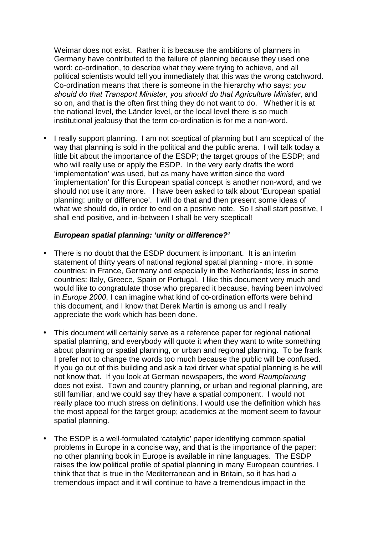Weimar does not exist. Rather it is because the ambitions of planners in Germany have contributed to the failure of planning because they used one word: co-ordination, to describe what they were trying to achieve, and all political scientists would tell you immediately that this was the wrong catchword. Co-ordination means that there is someone in the hierarchy who says; *you should do that Transport Minister, you should do that Agriculture Minister*, and so on, and that is the often first thing they do not want to do. Whether it is at the national level, the Länder level, or the local level there is so much institutional jealousy that the term co-ordination is for me a non-word.

• I really support planning. I am not sceptical of planning but I am sceptical of the way that planning is sold in the political and the public arena. I will talk today a little bit about the importance of the ESDP; the target groups of the ESDP; and who will really use or apply the ESDP. In the very early drafts the word 'implementation' was used, but as many have written since the word 'implementation' for this European spatial concept is another non-word, and we should not use it any more. I have been asked to talk about 'European spatial planning: unity or difference'. I will do that and then present some ideas of what we should do, in order to end on a positive note. So I shall start positive, I shall end positive, and in-between I shall be very sceptical!

#### *European spatial planning: 'unity or difference?'*

- There is no doubt that the ESDP document is important. It is an interim statement of thirty years of national regional spatial planning - more, in some countries: in France, Germany and especially in the Netherlands; less in some countries: Italy, Greece, Spain or Portugal. I like this document very much and would like to congratulate those who prepared it because, having been involved in *Europe 2000*, I can imagine what kind of co-ordination efforts were behind this document, and I know that Derek Martin is among us and I really appreciate the work which has been done.
- This document will certainly serve as a reference paper for regional national spatial planning, and everybody will quote it when they want to write something about planning or spatial planning, or urban and regional planning. To be frank I prefer not to change the words too much because the public will be confused. If you go out of this building and ask a taxi driver what spatial planning is he will not know that. If you look at German newspapers, the word *Raumplanung* does not exist. Town and country planning, or urban and regional planning, are still familiar, and we could say they have a spatial component. I would not really place too much stress on definitions. I would use the definition which has the most appeal for the target group; academics at the moment seem to favour spatial planning.
- The ESDP is a well-formulated 'catalytic' paper identifying common spatial problems in Europe in a concise way, and that is the importance of the paper: no other planning book in Europe is available in nine languages. The ESDP raises the low political profile of spatial planning in many European countries. I think that that is true in the Mediterranean and in Britain, so it has had a tremendous impact and it will continue to have a tremendous impact in the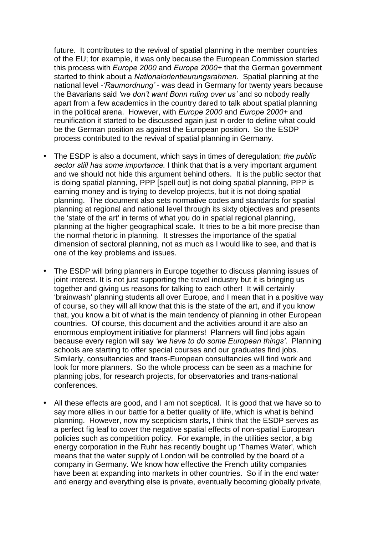future. It contributes to the revival of spatial planning in the member countries of the EU; for example, it was only because the European Commission started this process with *Europe 2000* and *Europe 2000+* that the German government started to think about a *Nationalorientieurungsrahmen*. Spatial planning at the national level -*ëRaumordnungí* - was dead in Germany for twenty years because the Bavarians said *ëwe donít want Bonn ruling over usí* and so nobody really apart from a few academics in the country dared to talk about spatial planning in the political arena. However, with *Europe 2000* and *Europe 2000+* and reunification it started to be discussed again just in order to define what could be the German position as against the European position. So the ESDP process contributed to the revival of spatial planning in Germany.

- The ESDP is also a document, which says in times of deregulation; *the public sector still has some importance.* I think that that is a very important argument and we should not hide this argument behind others. It is the public sector that is doing spatial planning, PPP [spell out] is not doing spatial planning, PPP is earning money and is trying to develop projects, but it is not doing spatial planning. The document also sets normative codes and standards for spatial planning at regional and national level through its sixty objectives and presents the 'state of the art' in terms of what you do in spatial regional planning, planning at the higher geographical scale. It tries to be a bit more precise than the normal rhetoric in planning. It stresses the importance of the spatial dimension of sectoral planning, not as much as I would like to see, and that is one of the key problems and issues.
- The ESDP will bring planners in Europe together to discuss planning issues of joint interest. It is not just supporting the travel industry but it is bringing us together and giving us reasons for talking to each other! It will certainly 'brainwash' planning students all over Europe, and I mean that in a positive way of course, so they will all know that this is the state of the art, and if you know that, you know a bit of what is the main tendency of planning in other European countries. Of course, this document and the activities around it are also an enormous employment initiative for planners! Planners will find jobs again because every region will say *ëwe have to do some European thingsí*. Planning schools are starting to offer special courses and our graduates find jobs. Similarly, consultancies and trans-European consultancies will find work and look for more planners. So the whole process can be seen as a machine for planning jobs, for research projects, for observatories and trans-national conferences.
- All these effects are good, and I am not sceptical. It is good that we have so to say more allies in our battle for a better quality of life, which is what is behind planning. However, now my scepticism starts, I think that the ESDP serves as a perfect fig leaf to cover the negative spatial effects of non-spatial European policies such as competition policy. For example, in the utilities sector, a big energy corporation in the Ruhr has recently bought up 'Thames Water', which means that the water supply of London will be controlled by the board of a company in Germany. We know how effective the French utility companies have been at expanding into markets in other countries. So if in the end water and energy and everything else is private, eventually becoming globally private,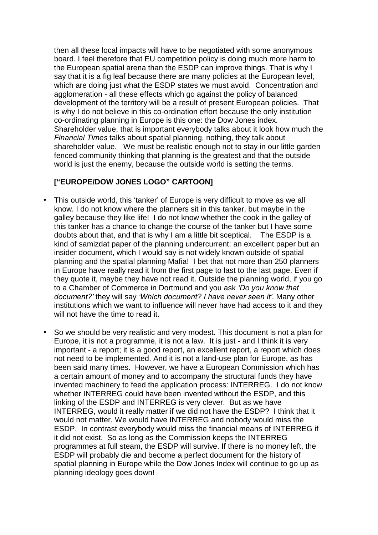then all these local impacts will have to be negotiated with some anonymous board. I feel therefore that EU competition policy is doing much more harm to the European spatial arena than the ESDP can improve things. That is why I say that it is a fig leaf because there are many policies at the European level, which are doing just what the ESDP states we must avoid. Concentration and agglomeration - all these effects which go against the policy of balanced development of the territory will be a result of present European policies. That is why I do not believe in this co-ordination effort because the only institution co-ordinating planning in Europe is this one: the Dow Jones index. Shareholder value, that is important everybody talks about it look how much the *Financial Times* talks about spatial planning, nothing, they talk about shareholder value. We must be realistic enough not to stay in our little garden fenced community thinking that planning is the greatest and that the outside world is just the enemy, because the outside world is setting the terms.

#### **["EUROPE/DOW JONES LOGO" CARTOON]**

- This outside world, this 'tanker' of Europe is very difficult to move as we all know. I do not know where the planners sit in this tanker, but maybe in the galley because they like life! I do not know whether the cook in the galley of this tanker has a chance to change the course of the tanker but I have some doubts about that, and that is why I am a little bit sceptical. The ESDP is a kind of samizdat paper of the planning undercurrent: an excellent paper but an insider document, which I would say is not widely known outside of spatial planning and the spatial planning Mafia! I bet that not more than 250 planners in Europe have really read it from the first page to last to the last page. Even if they quote it, maybe they have not read it. Outside the planning world, if you go to a Chamber of Commerce in Dortmund and you ask *ëDo you know that document?í* they will say *ëWhich document? I have never seen ití.* Many other institutions which we want to influence will never have had access to it and they will not have the time to read it.
- So we should be very realistic and very modest. This document is not a plan for Europe, it is not a programme, it is not a law. It is just - and I think it is very important - a report; it is a good report, an excellent report, a report which does not need to be implemented. And it is not a land-use plan for Europe, as has been said many times. However, we have a European Commission which has a certain amount of money and to accompany the structural funds they have invented machinery to feed the application process: INTERREG. I do not know whether INTERREG could have been invented without the ESDP, and this linking of the ESDP and INTERREG is very clever. But as we have INTERREG, would it really matter if we did not have the ESDP? I think that it would not matter. We would have INTERREG and nobody would miss the ESDP. In contrast everybody would miss the financial means of INTERREG if it did not exist. So as long as the Commission keeps the INTERREG programmes at full steam, the ESDP will survive. If there is no money left, the ESDP will probably die and become a perfect document for the history of spatial planning in Europe while the Dow Jones Index will continue to go up as planning ideology goes down!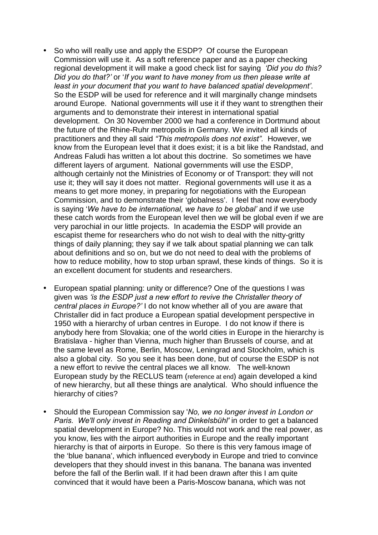- So who will really use and apply the ESDP? Of course the European Commission will use it. As a soft reference paper and as a paper checking regional development it will make a good check list for saying *ëDid you do this? Did you do that?í* or '*If you want to have money from us then please write at least in your document that you want to have balanced spatial developmentí*. So the ESDP will be used for reference and it will marginally change mindsets around Europe. National governments will use it if they want to strengthen their arguments and to demonstrate their interest in international spatial development. On 30 November 2000 we had a conference in Dortmund about the future of the Rhine-Ruhr metropolis in Germany. We invited all kinds of practitioners and they all said *ìThis metropolis does not existî.* However, we know from the European level that it does exist; it is a bit like the Randstad, and Andreas Faludi has written a lot about this doctrine. So sometimes we have different layers of argument. National governments will use the ESDP, although certainly not the Ministries of Economy or of Transport: they will not use it; they will say it does not matter. Regional governments will use it as a means to get more money, in preparing for negotiations with the European Commission, and to demonstrate their 'globalness'. I feel that now everybody is saying 'We have to be international, we have to be global' and if we use these catch words from the European level then we will be global even if we are very parochial in our little projects. In academia the ESDP will provide an escapist theme for researchers who do not wish to deal with the nitty-gritty things of daily planning; they say if we talk about spatial planning we can talk about definitions and so on, but we do not need to deal with the problems of how to reduce mobility, how to stop urban sprawl, these kinds of things. So it is an excellent document for students and researchers.
- European spatial planning: unity or difference? One of the questions I was given was *ëis the ESDP just a new effort to revive the Christaller theory of central places in Europe?í* I do not know whether all of you are aware that Christaller did in fact produce a European spatial development perspective in 1950 with a hierarchy of urban centres in Europe. I do not know if there is anybody here from Slovakia; one of the world cities in Europe in the hierarchy is Bratislava - higher than Vienna, much higher than Brussels of course, and at the same level as Rome, Berlin, Moscow, Leningrad and Stockholm, which is also a global city. So you see it has been done, but of course the ESDP is not a new effort to revive the central places we all know. The well-known European study by the RECLUS team (reference at end) again developed a kind of new hierarchy, but all these things are analytical. Who should influence the hierarchy of cities?
- Should the European Commission say '*No, we no longer invest in London or Paris. We'll only invest in Reading and Dinkelsbühl'* in order to get a balanced spatial development in Europe? No. This would not work and the real power, as you know, lies with the airport authorities in Europe and the really important hierarchy is that of airports in Europe. So there is this very famous image of the 'blue banana', which influenced everybody in Europe and tried to convince developers that they should invest in this banana. The banana was invented before the fall of the Berlin wall. If it had been drawn after this I am quite convinced that it would have been a Paris-Moscow banana, which was not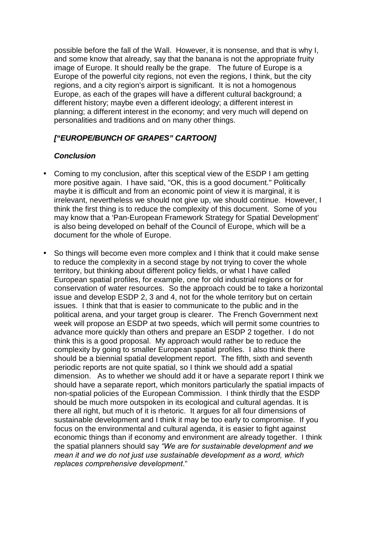possible before the fall of the Wall. However, it is nonsense, and that is why I, and some know that already, say that the banana is not the appropriate fruity image of Europe. It should really be the grape. The future of Europe is a Europe of the powerful city regions, not even the regions, I think, but the city regions, and a city region's airport is significant. It is not a homogenous Europe, as each of the grapes will have a different cultural background; a different history; maybe even a different ideology; a different interest in planning; a different interest in the economy; and very much will depend on personalities and traditions and on many other things.

## *["EUROPE/BUNCH OF GRAPES" CARTOON]*

## *Conclusion*

- Coming to my conclusion, after this sceptical view of the ESDP I am getting more positive again. I have said, "OK, this is a good document." Politically maybe it is difficult and from an economic point of view it is marginal, it is irrelevant, nevertheless we should not give up, we should continue. However, I think the first thing is to reduce the complexity of this document. Some of you may know that a 'Pan-European Framework Strategy for Spatial Development' is also being developed on behalf of the Council of Europe, which will be a document for the whole of Europe.
- So things will become even more complex and I think that it could make sense to reduce the complexity in a second stage by not trying to cover the whole territory, but thinking about different policy fields, or what I have called European spatial profiles, for example, one for old industrial regions or for conservation of water resources. So the approach could be to take a horizontal issue and develop ESDP 2, 3 and 4, not for the whole territory but on certain issues. I think that that is easier to communicate to the public and in the political arena, and your target group is clearer. The French Government next week will propose an ESDP at two speeds, which will permit some countries to advance more quickly than others and prepare an ESDP 2 together. I do not think this is a good proposal. My approach would rather be to reduce the complexity by going to smaller European spatial profiles. I also think there should be a biennial spatial development report. The fifth, sixth and seventh periodic reports are not quite spatial, so I think we should add a spatial dimension. As to whether we should add it or have a separate report I think we should have a separate report, which monitors particularly the spatial impacts of non-spatial policies of the European Commission. I think thirdly that the ESDP should be much more outspoken in its ecological and cultural agendas. It is there all right, but much of it is rhetoric. It argues for all four dimensions of sustainable development and I think it may be too early to compromise. If you focus on the environmental and cultural agenda, it is easier to fight against economic things than if economy and environment are already together. I think the spatial planners should say *ìWe are for sustainable development and we mean it and we do not just use sustainable development as a word, which replaces comprehensive development*."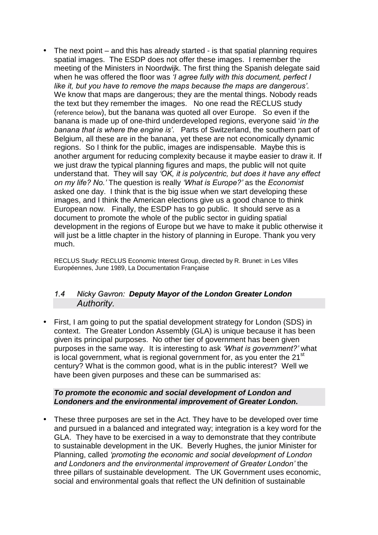<span id="page-25-0"></span>• The next point – and this has already started - is that spatial planning requires spatial images. The ESDP does not offer these images. I remember the meeting of the Ministers in Noordwijk. The first thing the Spanish delegate said when he was offered the floor was *ëI agree fully with this document, perfect I like it, but you have to remove the maps because the maps are dangerousí*. We know that maps are dangerous; they are the mental things. Nobody reads the text but they remember the images. No one read the RECLUS study (reference below), but the banana was quoted all over Europe. So even if the banana is made up of one-third underdeveloped regions, everyone said '*in the banana that is where the engine isí*. Parts of Switzerland, the southern part of Belgium, all these are in the banana, yet these are not economically dynamic regions. So I think for the public, images are indispensable. Maybe this is another argument for reducing complexity because it maybe easier to draw it. If we just draw the typical planning figures and maps, the public will not quite understand that. They will say *ëOK, it is polycentric, but does it have any effect on my life? No.í* The question is really *ëWhat is Europe?í* as the *Economist*  asked one day. I think that is the big issue when we start developing these images, and I think the American elections give us a good chance to think European now. Finally, the ESDP has to go public. It should serve as a document to promote the whole of the public sector in guiding spatial development in the regions of Europe but we have to make it public otherwise it will just be a little chapter in the history of planning in Europe. Thank you very much.

RECLUS Study: RECLUS Economic Interest Group, directed by R. Brunet: in Les Villes Européennes, June 1989, La Documentation Française

#### *1.4 Nicky Gavron: Deputy Mayor of the London Greater London Authority.*

• First, I am going to put the spatial development strategy for London (SDS) in context. The Greater London Assembly (GLA) is unique because it has been given its principal purposes. No other tier of government has been given purposes in the same way. It is interesting to ask *ëWhat is government?í* what is local government, what is regional government for, as you enter the  $21<sup>st</sup>$ century? What is the common good, what is in the public interest? Well we have been given purposes and these can be summarised as:

#### *To promote the economic and social development of London and Londoners and the environmental improvement of Greater London.*

• These three purposes are set in the Act. They have to be developed over time and pursued in a balanced and integrated way; integration is a key word for the GLA. They have to be exercised in a way to demonstrate that they contribute to sustainable development in the UK. Beverly Hughes, the junior Minister for Planning, called *ëpromoting the economic and social development of London and Londoners and the environmental improvement of Greater Londoní* the three pillars of sustainable development. The UK Government uses economic, social and environmental goals that reflect the UN definition of sustainable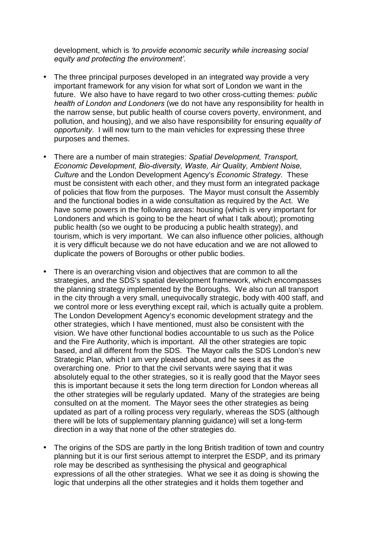development, which is *ëto provide economic security while increasing social equity and protecting the environmentí*.

- The three principal purposes developed in an integrated way provide a very important framework for any vision for what sort of London we want in the future. We also have to have regard to two other cross-cutting themes: *public health of London and Londoners* (we do not have any responsibility for health in the narrow sense, but public health of course covers poverty, environment, and pollution, and housing), and we also have responsibility for ensuring *equality of opportunity*. I will now turn to the main vehicles for expressing these three purposes and themes.
- There are a number of main strategies: *Spatial Development, Transport, Economic Development, Bio-diversity, Waste, Air Quality, Ambient Noise, Culture* and the London Development Agency's *Economic Strategy*. These must be consistent with each other, and they must form an integrated package of policies that flow from the purposes. The Mayor must consult the Assembly and the functional bodies in a wide consultation as required by the Act. We have some powers in the following areas: housing (which is very important for Londoners and which is going to be the heart of what I talk about); promoting public health (so we ought to be producing a public health strategy), and tourism, which is very important. We can also influence other policies, although it is very difficult because we do not have education and we are not allowed to duplicate the powers of Boroughs or other public bodies.
- There is an overarching vision and objectives that are common to all the strategies, and the SDS's spatial development framework, which encompasses the planning strategy implemented by the Boroughs. We also run all transport in the city through a very small, unequivocally strategic, body with 400 staff, and we control more or less everything except rail, which is actually quite a problem. The London Development Agency's economic development strategy and the other strategies, which I have mentioned, must also be consistent with the vision. We have other functional bodies accountable to us such as the Police and the Fire Authority, which is important. All the other strategies are topic based, and all different from the SDS. The Mayor calls the SDS London's new Strategic Plan, which I am very pleased about, and he sees it as the overarching one. Prior to that the civil servants were saying that it was absolutely equal to the other strategies, so it is really good that the Mayor sees this is important because it sets the long term direction for London whereas all the other strategies will be regularly updated. Many of the strategies are being consulted on at the moment. The Mayor sees the other strategies as being updated as part of a rolling process very regularly, whereas the SDS (although there will be lots of supplementary planning guidance) will set a long-term direction in a way that none of the other strategies do.
- The origins of the SDS are partly in the long British tradition of town and country planning but it is our first serious attempt to interpret the ESDP, and its primary role may be described as synthesising the physical and geographical expressions of all the other strategies. What we see it as doing is showing the logic that underpins all the other strategies and it holds them together and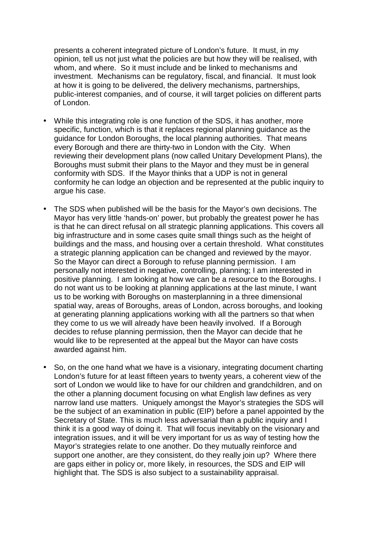presents a coherent integrated picture of London's future. It must, in my opinion, tell us not just what the policies are but how they will be realised, with whom, and where. So it must include and be linked to mechanisms and investment. Mechanisms can be regulatory, fiscal, and financial. It must look at how it is going to be delivered, the delivery mechanisms, partnerships, public-interest companies, and of course, it will target policies on different parts of London.

- While this integrating role is one function of the SDS, it has another, more specific, function, which is that it replaces regional planning guidance as the guidance for London Boroughs, the local planning authorities. That means every Borough and there are thirty-two in London with the City. When reviewing their development plans (now called Unitary Development Plans), the Boroughs must submit their plans to the Mayor and they must be in general conformity with SDS. If the Mayor thinks that a UDP is not in general conformity he can lodge an objection and be represented at the public inquiry to argue his case.
- The SDS when published will be the basis for the Mayor's own decisions. The Mayor has very little 'hands-on' power, but probably the greatest power he has is that he can direct refusal on all strategic planning applications. This covers all big infrastructure and in some cases quite small things such as the height of buildings and the mass, and housing over a certain threshold. What constitutes a strategic planning application can be changed and reviewed by the mayor. So the Mayor can direct a Borough to refuse planning permission. I am personally not interested in negative, controlling, planning; I am interested in positive planning. I am looking at how we can be a resource to the Boroughs. I do not want us to be looking at planning applications at the last minute, I want us to be working with Boroughs on masterplanning in a three dimensional spatial way, areas of Boroughs, areas of London, across boroughs, and looking at generating planning applications working with all the partners so that when they come to us we will already have been heavily involved. If a Borough decides to refuse planning permission, then the Mayor can decide that he would like to be represented at the appeal but the Mayor can have costs awarded against him.
- So, on the one hand what we have is a visionary, integrating document charting London's future for at least fifteen years to twenty years, a coherent view of the sort of London we would like to have for our children and grandchildren, and on the other a planning document focusing on what English law defines as very narrow land use matters. Uniquely amongst the Mayor's strategies the SDS will be the subject of an examination in public (EIP) before a panel appointed by the Secretary of State. This is much less adversarial than a public inquiry and I think it is a good way of doing it. That will focus inevitably on the visionary and integration issues, and it will be very important for us as way of testing how the Mayor's strategies relate to one another. Do they mutually reinforce and support one another, are they consistent, do they really join up? Where there are gaps either in policy or, more likely, in resources, the SDS and EIP will highlight that. The SDS is also subject to a sustainability appraisal.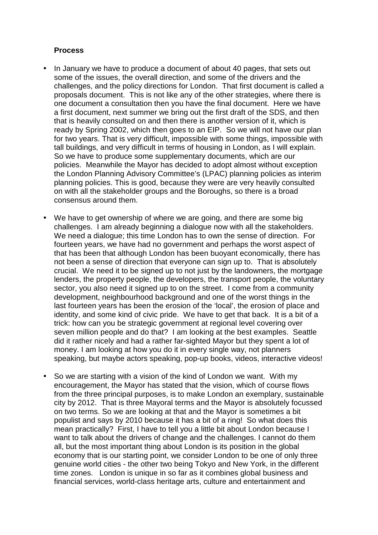#### **Process**

- In January we have to produce a document of about 40 pages, that sets out some of the issues, the overall direction, and some of the drivers and the challenges, and the policy directions for London. That first document is called a proposals document. This is not like any of the other strategies, where there is one document a consultation then you have the final document. Here we have a first document, next summer we bring out the first draft of the SDS, and then that is heavily consulted on and then there is another version of it, which is ready by Spring 2002, which then goes to an EIP. So we will not have our plan for two years. That is very difficult, impossible with some things, impossible with tall buildings, and very difficult in terms of housing in London, as I will explain. So we have to produce some supplementary documents, which are our policies. Meanwhile the Mayor has decided to adopt almost without exception the London Planning Advisory Committee's (LPAC) planning policies as interim planning policies. This is good, because they were are very heavily consulted on with all the stakeholder groups and the Boroughs, so there is a broad consensus around them.
- We have to get ownership of where we are going, and there are some big challenges. I am already beginning a dialogue now with all the stakeholders. We need a dialogue; this time London has to own the sense of direction. For fourteen years, we have had no government and perhaps the worst aspect of that has been that although London has been buoyant economically, there has not been a sense of direction that everyone can sign up to. That is absolutely crucial. We need it to be signed up to not just by the landowners, the mortgage lenders, the property people, the developers, the transport people, the voluntary sector, you also need it signed up to on the street. I come from a community development, neighbourhood background and one of the worst things in the last fourteen years has been the erosion of the 'local', the erosion of place and identity, and some kind of civic pride. We have to get that back. It is a bit of a trick: how can you be strategic government at regional level covering over seven million people and do that? I am looking at the best examples. Seattle did it rather nicely and had a rather far-sighted Mayor but they spent a lot of money. I am looking at how you do it in every single way, not planners speaking, but maybe actors speaking, pop-up books, videos, interactive videos!
- So we are starting with a vision of the kind of London we want. With my encouragement, the Mayor has stated that the vision, which of course flows from the three principal purposes, is to make London an exemplary, sustainable city by 2012. That is three Mayoral terms and the Mayor is absolutely focussed on two terms. So we are looking at that and the Mayor is sometimes a bit populist and says by 2010 because it has a bit of a ring! So what does this mean practically? First, I have to tell you a little bit about London because I want to talk about the drivers of change and the challenges. I cannot do them all, but the most important thing about London is its position in the global economy that is our starting point, we consider London to be one of only three genuine world cities - the other two being Tokyo and New York, in the different time zones. London is unique in so far as it combines global business and financial services, world-class heritage arts, culture and entertainment and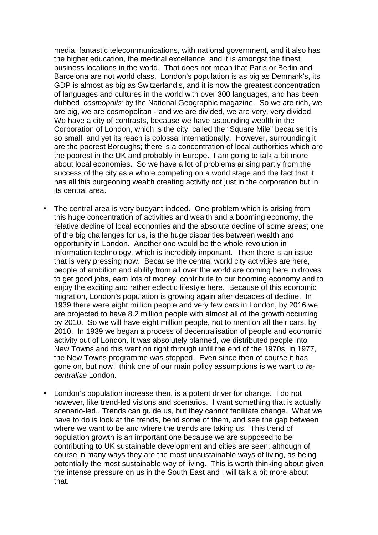media, fantastic telecommunications, with national government, and it also has the higher education, the medical excellence, and it is amongst the finest business locations in the world. That does not mean that Paris or Berlin and Barcelona are not world class. London's population is as big as Denmark's, its GDP is almost as big as Switzerland's, and it is now the greatest concentration of languages and cultures in the world with over 300 languages, and has been dubbed *ëcosmopolisí* by the National Geographic magazine. So we are rich, we are big, we are cosmopolitan - and we are divided, we are very, very divided. We have a city of contrasts, because we have astounding wealth in the Corporation of London, which is the city, called the "Square Mile" because it is so small, and yet its reach is colossal internationally. However, surrounding it are the poorest Boroughs; there is a concentration of local authorities which are the poorest in the UK and probably in Europe. I am going to talk a bit more about local economies. So we have a lot of problems arising partly from the success of the city as a whole competing on a world stage and the fact that it has all this burgeoning wealth creating activity not just in the corporation but in its central area.

- The central area is very buoyant indeed. One problem which is arising from this huge concentration of activities and wealth and a booming economy, the relative decline of local economies and the absolute decline of some areas; one of the big challenges for us, is the huge disparities between wealth and opportunity in London. Another one would be the whole revolution in information technology, which is incredibly important. Then there is an issue that is very pressing now. Because the central world city activities are here, people of ambition and ability from all over the world are coming here in droves to get good jobs, earn lots of money, contribute to our booming economy and to enjoy the exciting and rather eclectic lifestyle here. Because of this economic migration, London's population is growing again after decades of decline. In 1939 there were eight million people and very few cars in London, by 2016 we are projected to have 8.2 million people with almost all of the growth occurring by 2010. So we will have eight million people, not to mention all their cars, by 2010. In 1939 we began a process of decentralisation of people and economic activity out of London. It was absolutely planned, we distributed people into New Towns and this went on right through until the end of the 1970s: in 1977, the New Towns programme was stopped. Even since then of course it has gone on, but now I think one of our main policy assumptions is we want to *recentralise* London.
- London's population increase then, is a potent driver for change. I do not however, like trend-led visions and scenarios. I want something that is actually scenario-led,. Trends can guide us, but they cannot facilitate change. What we have to do is look at the trends, bend some of them, and see the gap between where we want to be and where the trends are taking us. This trend of population growth is an important one because we are supposed to be contributing to UK sustainable development and cities are seen; although of course in many ways they are the most unsustainable ways of living, as being potentially the most sustainable way of living. This is worth thinking about given the intense pressure on us in the South East and I will talk a bit more about that.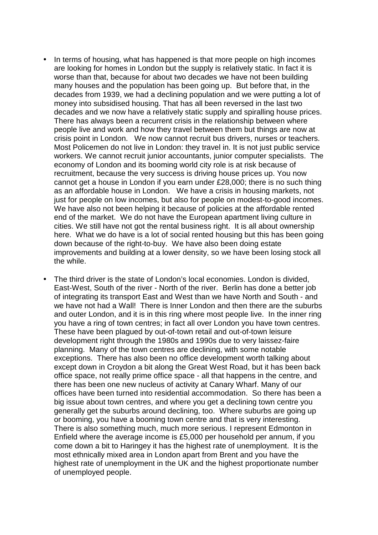- In terms of housing, what has happened is that more people on high incomes are looking for homes in London but the supply is relatively static. In fact it is worse than that, because for about two decades we have not been building many houses and the population has been going up. But before that, in the decades from 1939, we had a declining population and we were putting a lot of money into subsidised housing. That has all been reversed in the last two decades and we now have a relatively static supply and spiralling house prices. There has always been a recurrent crisis in the relationship between where people live and work and how they travel between them but things are now at crisis point in London. We now cannot recruit bus drivers, nurses or teachers. Most Policemen do not live in London: they travel in. It is not just public service workers. We cannot recruit junior accountants, junior computer specialists. The economy of London and its booming world city role is at risk because of recruitment, because the very success is driving house prices up. You now cannot get a house in London if you earn under £28,000; there is no such thing as an affordable house in London. We have a crisis in housing markets, not just for people on low incomes, but also for people on modest-to-good incomes. We have also not been helping it because of policies at the affordable rented end of the market. We do not have the European apartment living culture in cities. We still have not got the rental business right. It is all about ownership here. What we do have is a lot of social rented housing but this has been going down because of the right-to-buy. We have also been doing estate improvements and building at a lower density, so we have been losing stock all the while.
- The third driver is the state of London's local economies. London is divided, East-West, South of the river - North of the river. Berlin has done a better job of integrating its transport East and West than we have North and South - and we have not had a Wall! There is Inner London and then there are the suburbs and outer London, and it is in this ring where most people live. In the inner ring you have a ring of town centres; in fact all over London you have town centres. These have been plagued by out-of-town retail and out-of-town leisure development right through the 1980s and 1990s due to very laissez-faire planning. Many of the town centres are declining, with some notable exceptions. There has also been no office development worth talking about except down in Croydon a bit along the Great West Road, but it has been back office space, not really prime office space - all that happens in the centre, and there has been one new nucleus of activity at Canary Wharf. Many of our offices have been turned into residential accommodation. So there has been a big issue about town centres, and where you get a declining town centre you generally get the suburbs around declining, too. Where suburbs are going up or booming, you have a booming town centre and that is very interesting. There is also something much, much more serious. I represent Edmonton in Enfield where the average income is £5,000 per household per annum, if you come down a bit to Haringey it has the highest rate of unemployment. It is the most ethnically mixed area in London apart from Brent and you have the highest rate of unemployment in the UK and the highest proportionate number of unemployed people.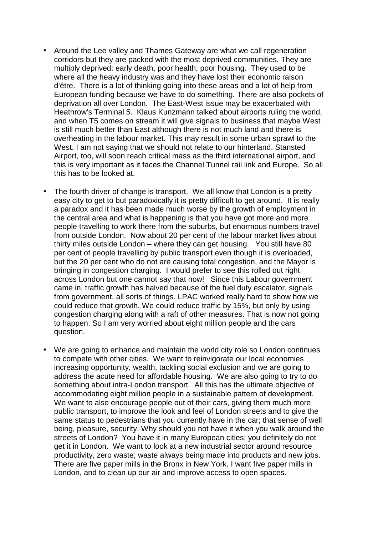- Around the Lee valley and Thames Gateway are what we call regeneration corridors but they are packed with the most deprived communities. They are multiply deprived: early death, poor health, poor housing. They used to be where all the heavy industry was and they have lost their economic raison d'être. There is a lot of thinking going into these areas and a lot of help from European funding because we have to do something. There are also pockets of deprivation all over London. The East-West issue may be exacerbated with Heathrow's Terminal 5. Klaus Kunzmann talked about airports ruling the world, and when T5 comes on stream it will give signals to business that maybe West is still much better than East although there is not much land and there is overheating in the labour market. This may result in some urban sprawl to the West. I am not saying that we should not relate to our hinterland. Stansted Airport, too, will soon reach critical mass as the third international airport, and this is very important as it faces the Channel Tunnel rail link and Europe. So all this has to be looked at.
- The fourth driver of change is transport. We all know that London is a pretty easy city to get to but paradoxically it is pretty difficult to get around. It is really a paradox and it has been made much worse by the growth of employment in the central area and what is happening is that you have got more and more people travelling to work there from the suburbs, but enormous numbers travel from outside London. Now about 20 per cent of the labour market lives about thirty miles outside London – where they can get housing. You still have 80 per cent of people travelling by public transport even though it is overloaded, but the 20 per cent who do not are causing total congestion, and the Mayor is bringing in congestion charging. I would prefer to see this rolled out right across London but one cannot say that now! Since this Labour government came in, traffic growth has halved because of the fuel duty escalator, signals from government, all sorts of things. LPAC worked really hard to show how we could reduce that growth. We could reduce traffic by 15%, but only by using congestion charging along with a raft of other measures. That is now not going to happen. So I am very worried about eight million people and the cars question.
- We are going to enhance and maintain the world city role so London continues to compete with other cities. We want to reinvigorate our local economies increasing opportunity, wealth, tackling social exclusion and we are going to address the acute need for affordable housing. We are also going to try to do something about intra-London transport. All this has the ultimate objective of accommodating eight million people in a sustainable pattern of development. We want to also encourage people out of their cars, giving them much more public transport, to improve the look and feel of London streets and to give the same status to pedestrians that you currently have in the car; that sense of well being, pleasure, security. Why should you not have it when you walk around the streets of London? You have it in many European cities; you definitely do not get it in London. We want to look at a new industrial sector around resource productivity, zero waste; waste always being made into products and new jobs. There are five paper mills in the Bronx in New York. I want five paper mills in London, and to clean up our air and improve access to open spaces.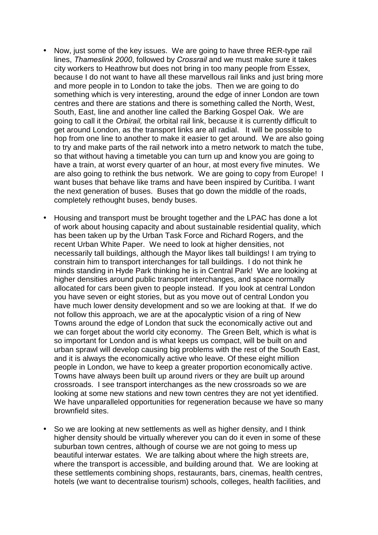- Now, just some of the key issues. We are going to have three RER-type rail lines, *Thameslink 2000*, followed by *Crossrail* and we must make sure it takes city workers to Heathrow but does not bring in too many people from Essex, because I do not want to have all these marvellous rail links and just bring more and more people in to London to take the jobs. Then we are going to do something which is very interesting, around the edge of inner London are town centres and there are stations and there is something called the North, West, South, East, line and another line called the Barking Gospel Oak. We are going to call it the *Orbirail,* the orbital rail link, because it is currently difficult to get around London, as the transport links are all radial. It will be possible to hop from one line to another to make it easier to get around. We are also going to try and make parts of the rail network into a metro network to match the tube, so that without having a timetable you can turn up and know you are going to have a train, at worst every quarter of an hour, at most every five minutes. We are also going to rethink the bus network. We are going to copy from Europe! I want buses that behave like trams and have been inspired by Curitiba. I want the next generation of buses. Buses that go down the middle of the roads, completely rethought buses, bendy buses.
- Housing and transport must be brought together and the LPAC has done a lot of work about housing capacity and about sustainable residential quality, which has been taken up by the Urban Task Force and Richard Rogers, and the recent Urban White Paper. We need to look at higher densities, not necessarily tall buildings, although the Mayor likes tall buildings! I am trying to constrain him to transport interchanges for tall buildings. I do not think he minds standing in Hyde Park thinking he is in Central Park! We are looking at higher densities around public transport interchanges, and space normally allocated for cars been given to people instead. If you look at central London you have seven or eight stories, but as you move out of central London you have much lower density development and so we are looking at that. If we do not follow this approach, we are at the apocalyptic vision of a ring of New Towns around the edge of London that suck the economically active out and we can forget about the world city economy. The Green Belt, which is what is so important for London and is what keeps us compact, will be built on and urban sprawl will develop causing big problems with the rest of the South East, and it is always the economically active who leave. Of these eight million people in London, we have to keep a greater proportion economically active. Towns have always been built up around rivers or they are built up around crossroads. I see transport interchanges as the new crossroads so we are looking at some new stations and new town centres they are not yet identified. We have unparalleled opportunities for regeneration because we have so many brownfield sites.
- So we are looking at new settlements as well as higher density, and I think higher density should be virtually wherever you can do it even in some of these suburban town centres, although of course we are not going to mess up beautiful interwar estates. We are talking about where the high streets are, where the transport is accessible, and building around that. We are looking at these settlements combining shops, restaurants, bars, cinemas, health centres, hotels (we want to decentralise tourism) schools, colleges, health facilities, and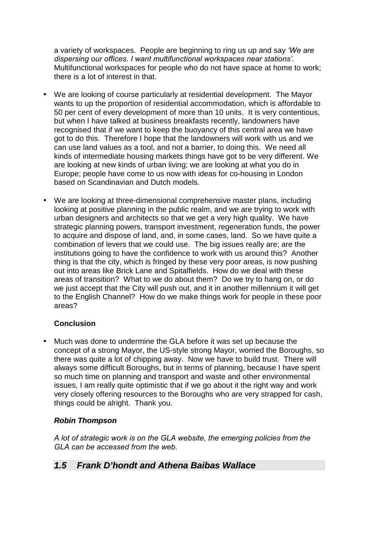<span id="page-33-0"></span>a variety of workspaces. People are beginning to ring us up and say *ëWe are dispersing our offices. I want multifunctional workspaces near stationsí*. Multifunctional workspaces for people who do not have space at home to work; there is a lot of interest in that.

- We are looking of course particularly at residential development. The Mayor wants to up the proportion of residential accommodation, which is affordable to 50 per cent of every development of more than 10 units. It is very contentious, but when I have talked at business breakfasts recently, landowners have recognised that if we want to keep the buoyancy of this central area we have got to do this. Therefore I hope that the landowners will work with us and we can use land values as a tool, and not a barrier, to doing this. We need all kinds of intermediate housing markets things have got to be very different. We are looking at new kinds of urban living; we are looking at what you do in Europe; people have come to us now with ideas for co-housing in London based on Scandinavian and Dutch models.
- We are looking at three-dimensional comprehensive master plans, including looking at positive planning in the public realm, and we are trying to work with urban designers and architects so that we get a very high quality. We have strategic planning powers, transport investment, regeneration funds, the power to acquire and dispose of land, and, in some cases, land. So we have quite a combination of levers that we could use. The big issues really are; are the institutions going to have the confidence to work with us around this? Another thing is that the city, which is fringed by these very poor areas, is now pushing out into areas like Brick Lane and Spitalfields. How do we deal with these areas of transition? What to we do about them? Do we try to hang on, or do we just accept that the City will push out, and it in another millennium it will get to the English Channel? How do we make things work for people in these poor areas?

## **Conclusion**

• Much was done to undermine the GLA before it was set up because the concept of a strong Mayor, the US-style strong Mayor, worried the Boroughs, so there was quite a lot of chipping away. Now we have to build trust. There will always some difficult Boroughs, but in terms of planning, because I have spent so much time on planning and transport and waste and other environmental issues, I am really quite optimistic that if we go about it the right way and work very closely offering resources to the Boroughs who are very strapped for cash, things could be alright. Thank you.

## *Robin Thompson*

*A lot of strategic work is on the GLA website, the emerging policies from the GLA can be accessed from the web.* 

## *1.5 Frank D'hondt and Athena Baibas Wallace*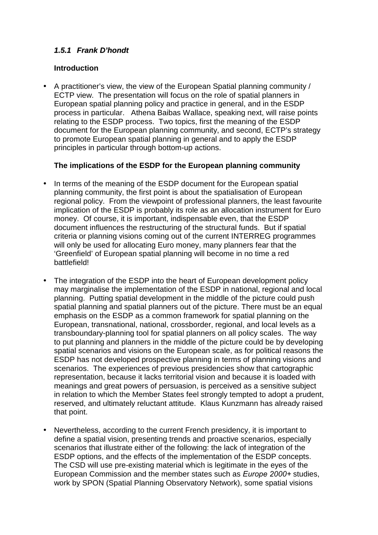## <span id="page-34-0"></span>*1.5.1 Frank D'hondt*

#### **Introduction**

• A practitioner's view, the view of the European Spatial planning community / ECTP view. The presentation will focus on the role of spatial planners in European spatial planning policy and practice in general, and in the ESDP process in particular. Athena Baibas Wallace, speaking next, will raise points relating to the ESDP process. Two topics, first the meaning of the ESDP document for the European planning community, and second, ECTP's strategy to promote European spatial planning in general and to apply the ESDP principles in particular through bottom-up actions.

## **The implications of the ESDP for the European planning community**

- In terms of the meaning of the ESDP document for the European spatial planning community, the first point is about the spatialisation of European regional policy. From the viewpoint of professional planners, the least favourite implication of the ESDP is probably its role as an allocation instrument for Euro money. Of course, it is important, indispensable even, that the ESDP document influences the restructuring of the structural funds. But if spatial criteria or planning visions coming out of the current INTERREG programmes will only be used for allocating Euro money, many planners fear that the 'Greenfield' of European spatial planning will become in no time a red battlefield!
- The integration of the ESDP into the heart of European development policy may marginalise the implementation of the ESDP in national, regional and local planning. Putting spatial development in the middle of the picture could push spatial planning and spatial planners out of the picture. There must be an equal emphasis on the ESDP as a common framework for spatial planning on the European, transnational, national, crossborder, regional, and local levels as a transboundary-planning tool for spatial planners on all policy scales. The way to put planning and planners in the middle of the picture could be by developing spatial scenarios and visions on the European scale, as for political reasons the ESDP has not developed prospective planning in terms of planning visions and scenarios. The experiences of previous presidencies show that cartographic representation, because it lacks territorial vision and because it is loaded with meanings and great powers of persuasion, is perceived as a sensitive subject in relation to which the Member States feel strongly tempted to adopt a prudent, reserved, and ultimately reluctant attitude. Klaus Kunzmann has already raised that point.
- Nevertheless, according to the current French presidency, it is important to define a spatial vision, presenting trends and proactive scenarios, especially scenarios that illustrate either of the following: the lack of integration of the ESDP options, and the effects of the implementation of the ESDP concepts. The CSD will use pre-existing material which is legitimate in the eyes of the European Commission and the member states such as *Europe 2000+* studies, work by SPON (Spatial Planning Observatory Network), some spatial visions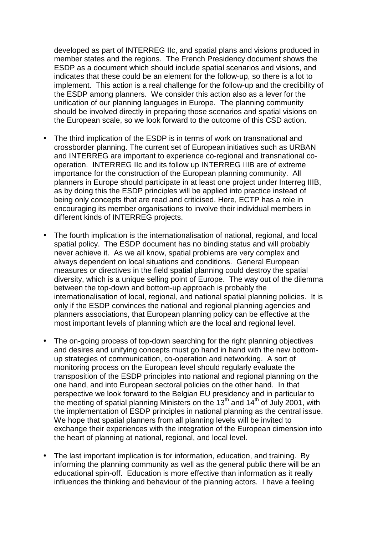developed as part of INTERREG IIc, and spatial plans and visions produced in member states and the regions. The French Presidency document shows the ESDP as a document which should include spatial scenarios and visions, and indicates that these could be an element for the follow-up, so there is a lot to implement. This action is a real challenge for the follow-up and the credibility of the ESDP among planners. We consider this action also as a lever for the unification of our planning languages in Europe. The planning community should be involved directly in preparing those scenarios and spatial visions on the European scale, so we look forward to the outcome of this CSD action.

- The third implication of the ESDP is in terms of work on transnational and crossborder planning. The current set of European initiatives such as URBAN and INTERREG are important to experience co-regional and transnational cooperation. INTERREG IIc and its follow up INTERREG IIIB are of extreme importance for the construction of the European planning community. All planners in Europe should participate in at least one project under Interreg IIIB, as by doing this the ESDP principles will be applied into practice instead of being only concepts that are read and criticised. Here, ECTP has a role in encouraging its member organisations to involve their individual members in different kinds of INTERREG projects.
- The fourth implication is the internationalisation of national, regional, and local spatial policy. The ESDP document has no binding status and will probably never achieve it. As we all know, spatial problems are very complex and always dependent on local situations and conditions. General European measures or directives in the field spatial planning could destroy the spatial diversity, which is a unique selling point of Europe. The way out of the dilemma between the top-down and bottom-up approach is probably the internationalisation of local, regional, and national spatial planning policies. It is only if the ESDP convinces the national and regional planning agencies and planners associations, that European planning policy can be effective at the most important levels of planning which are the local and regional level.
- The on-going process of top-down searching for the right planning objectives and desires and unifying concepts must go hand in hand with the new bottomup strategies of communication, co-operation and networking. A sort of monitoring process on the European level should regularly evaluate the transposition of the ESDP principles into national and regional planning on the one hand, and into European sectoral policies on the other hand. In that perspective we look forward to the Belgian EU presidency and in particular to the meeting of spatial planning Ministers on the  $13<sup>th</sup>$  and  $14<sup>th</sup>$  of July 2001, with the implementation of ESDP principles in national planning as the central issue. We hope that spatial planners from all planning levels will be invited to exchange their experiences with the integration of the European dimension into the heart of planning at national, regional, and local level.
- The last important implication is for information, education, and training. By informing the planning community as well as the general public there will be an educational spin-off. Education is more effective than information as it really influences the thinking and behaviour of the planning actors. I have a feeling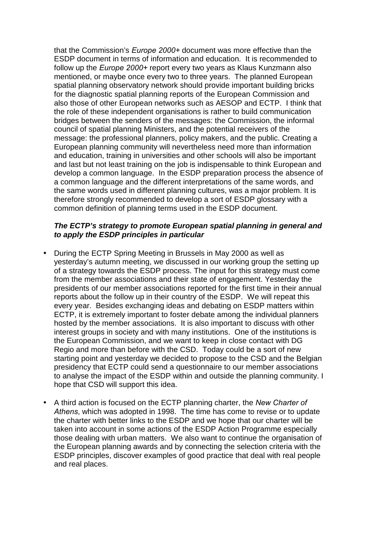that the Commission's *Europe 2000+* document was more effective than the ESDP document in terms of information and education. It is recommended to follow up the *Europe 2000+* report every two years as Klaus Kunzmann also mentioned, or maybe once every two to three years. The planned European spatial planning observatory network should provide important building bricks for the diagnostic spatial planning reports of the European Commission and also those of other European networks such as AESOP and ECTP. I think that the role of these independent organisations is rather to build communication bridges between the senders of the messages: the Commission, the informal council of spatial planning Ministers, and the potential receivers of the message: the professional planners, policy makers, and the public. Creating a European planning community will nevertheless need more than information and education, training in universities and other schools will also be important and last but not least training on the job is indispensable to think European and develop a common language. In the ESDP preparation process the absence of a common language and the different interpretations of the same words, and the same words used in different planning cultures, was a major problem. It is therefore strongly recommended to develop a sort of ESDP glossary with a common definition of planning terms used in the ESDP document.

#### *The ECTP's strategy to promote European spatial planning in general and to apply the ESDP principles in particular*

- During the ECTP Spring Meeting in Brussels in May 2000 as well as yesterday's autumn meeting, we discussed in our working group the setting up of a strategy towards the ESDP process. The input for this strategy must come from the member associations and their state of engagement. Yesterday the presidents of our member associations reported for the first time in their annual reports about the follow up in their country of the ESDP. We will repeat this every year. Besides exchanging ideas and debating on ESDP matters within ECTP, it is extremely important to foster debate among the individual planners hosted by the member associations. It is also important to discuss with other interest groups in society and with many institutions. One of the institutions is the European Commission, and we want to keep in close contact with DG Regio and more than before with the CSD. Today could be a sort of new starting point and yesterday we decided to propose to the CSD and the Belgian presidency that ECTP could send a questionnaire to our member associations to analyse the impact of the ESDP within and outside the planning community. I hope that CSD will support this idea.
- A third action is focused on the ECTP planning charter, the *New Charter of Athens*, which was adopted in 1998. The time has come to revise or to update the charter with better links to the ESDP and we hope that our charter will be taken into account in some actions of the ESDP Action Programme especially those dealing with urban matters. We also want to continue the organisation of the European planning awards and by connecting the selection criteria with the ESDP principles, discover examples of good practice that deal with real people and real places.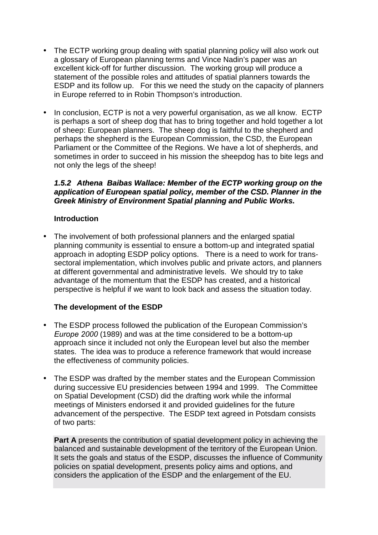- <span id="page-37-0"></span>• The ECTP working group dealing with spatial planning policy will also work out a glossary of European planning terms and Vince Nadin's paper was an excellent kick-off for further discussion. The working group will produce a statement of the possible roles and attitudes of spatial planners towards the ESDP and its follow up. For this we need the study on the capacity of planners in Europe referred to in Robin Thompson's introduction.
- In conclusion, ECTP is not a very powerful organisation, as we all know. ECTP is perhaps a sort of sheep dog that has to bring together and hold together a lot of sheep: European planners. The sheep dog is faithful to the shepherd and perhaps the shepherd is the European Commission, the CSD, the European Parliament or the Committee of the Regions. We have a lot of shepherds, and sometimes in order to succeed in his mission the sheepdog has to bite legs and not only the legs of the sheep!

#### *1.5.2 Athena Baibas Wallace: Member of the ECTP working group on the application of European spatial policy, member of the CSD. Planner in the Greek Ministry of Environment Spatial planning and Public Works.*

## **Introduction**

• The involvement of both professional planners and the enlarged spatial planning community is essential to ensure a bottom-up and integrated spatial approach in adopting ESDP policy options. There is a need to work for transsectoral implementation, which involves public and private actors, and planners at different governmental and administrative levels. We should try to take advantage of the momentum that the ESDP has created, and a historical perspective is helpful if we want to look back and assess the situation today.

## **The development of the ESDP**

- The ESDP process followed the publication of the European Commission's *Europe 2000* (1989) and was at the time considered to be a bottom-up approach since it included not only the European level but also the member states. The idea was to produce a reference framework that would increase the effectiveness of community policies.
- The ESDP was drafted by the member states and the European Commission during successive EU presidencies between 1994 and 1999. The Committee on Spatial Development (CSD) did the drafting work while the informal meetings of Ministers endorsed it and provided guidelines for the future advancement of the perspective. The ESDP text agreed in Potsdam consists of two parts:

**Part A** presents the contribution of spatial development policy in achieving the balanced and sustainable development of the territory of the European Union. It sets the goals and status of the ESDP, discusses the influence of Community policies on spatial development, presents policy aims and options, and considers the application of the ESDP and the enlargement of the EU.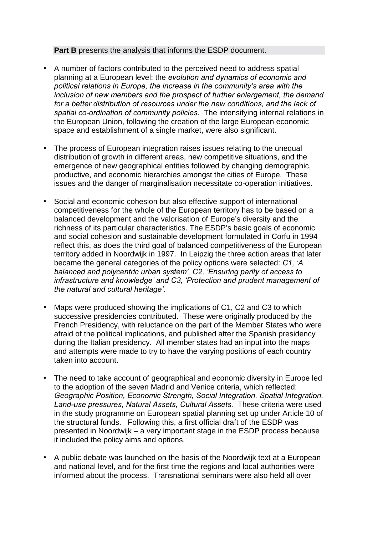#### **Part B** presents the analysis that informs the ESDP document.

- A number of factors contributed to the perceived need to address spatial planning at a European level: the *evolution and dynamics of economic and political relations in Europe, the increase in the communityís area with the inclusion of new members and the prospect of further enlargement, the demand*  for a better distribution of resources under the new conditions, and the lack of *spatial co-ordination of community policies*. The intensifying internal relations in the European Union, following the creation of the large European economic space and establishment of a single market, were also significant.
- The process of European integration raises issues relating to the unequal distribution of growth in different areas, new competitive situations, and the emergence of new geographical entities followed by changing demographic, productive, and economic hierarchies amongst the cities of Europe. These issues and the danger of marginalisation necessitate co-operation initiatives.
- Social and economic cohesion but also effective support of international competitiveness for the whole of the European territory has to be based on a balanced development and the valorisation of Europe's diversity and the richness of its particular characteristics. The ESDP's basic goals of economic and social cohesion and sustainable development formulated in Corfu in 1994 reflect this, as does the third goal of balanced competitiveness of the European territory added in Noordwijk in 1997. In Leipzig the three action areas that later became the general categories of the policy options were selected: *C1, ëA balanced and polycentric urban systemí, C2, ëEnsuring parity of access to*  infrastructure and knowledge' and C3, 'Protection and prudent management of *the natural and cultural heritageí*.
- Maps were produced showing the implications of C1, C2 and C3 to which successive presidencies contributed. These were originally produced by the French Presidency, with reluctance on the part of the Member States who were afraid of the political implications, and published after the Spanish presidency during the Italian presidency. All member states had an input into the maps and attempts were made to try to have the varying positions of each country taken into account.
- The need to take account of geographical and economic diversity in Europe led to the adoption of the seven Madrid and Venice criteria, which reflected: *Geographic Position, Economic Strength, Social Integration, Spatial Integration, Land-use pressures, Natural Assets, Cultural Assets.* These criteria were used in the study programme on European spatial planning set up under Article 10 of the structural funds. Following this, a first official draft of the ESDP was presented in Noordwijk – a very important stage in the ESDP process because it included the policy aims and options.
- A public debate was launched on the basis of the Noordwijk text at a European and national level, and for the first time the regions and local authorities were informed about the process. Transnational seminars were also held all over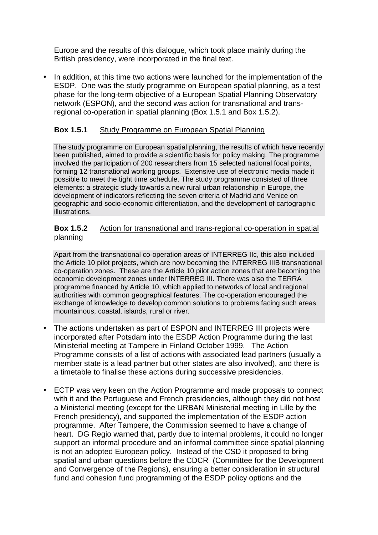Europe and the results of this dialogue, which took place mainly during the British presidency, were incorporated in the final text.

• In addition, at this time two actions were launched for the implementation of the ESDP. One was the study programme on European spatial planning, as a test phase for the long-term objective of a European Spatial Planning Observatory network (ESPON), and the second was action for transnational and transregional co-operation in spatial planning (Box 1.5.1 and Box 1.5.2).

## **Box 1.5.1** Study Programme on European Spatial Planning

The study programme on European spatial planning, the results of which have recently been published, aimed to provide a scientific basis for policy making. The programme involved the participation of 200 researchers from 15 selected national focal points, forming 12 transnational working groups. Extensive use of electronic media made it possible to meet the tight time schedule. The study programme consisted of three elements: a strategic study towards a new rural urban relationship in Europe, the development of indicators reflecting the seven criteria of Madrid and Venice on geographic and socio-economic differentiation, and the development of cartographic illustrations.

#### **Box 1.5.2** Action for transnational and trans-regional co-operation in spatial planning

Apart from the transnational co-operation areas of INTERREG IIc, this also included the Article 10 pilot projects, which are now becoming the INTERREG IIIB transnational co-operation zones. These are the Article 10 pilot action zones that are becoming the economic development zones under INTERREG III. There was also the TERRA programme financed by Article 10, which applied to networks of local and regional authorities with common geographical features. The co-operation encouraged the exchange of knowledge to develop common solutions to problems facing such areas mountainous, coastal, islands, rural or river.

- The actions undertaken as part of ESPON and INTERREG III projects were incorporated after Potsdam into the ESDP Action Programme during the last Ministerial meeting at Tampere in Finland October 1999. The Action Programme consists of a list of actions with associated lead partners (usually a member state is a lead partner but other states are also involved), and there is a timetable to finalise these actions during successive presidencies.
- ECTP was very keen on the Action Programme and made proposals to connect with it and the Portuguese and French presidencies, although they did not host a Ministerial meeting (except for the URBAN Ministerial meeting in Lille by the French presidency), and supported the implementation of the ESDP action programme. After Tampere, the Commission seemed to have a change of heart. DG Regio warned that, partly due to internal problems, it could no longer support an informal procedure and an informal committee since spatial planning is not an adopted European policy. Instead of the CSD it proposed to bring spatial and urban questions before the CDCR (Committee for the Development and Convergence of the Regions), ensuring a better consideration in structural fund and cohesion fund programming of the ESDP policy options and the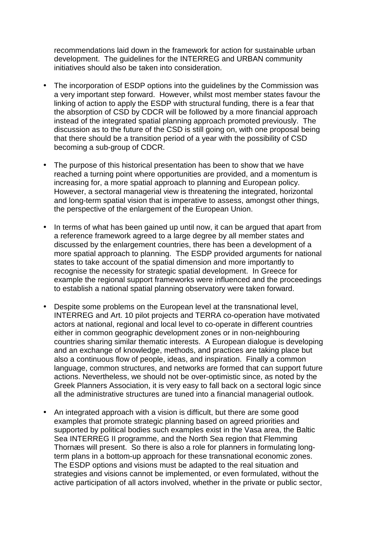recommendations laid down in the framework for action for sustainable urban development. The guidelines for the INTERREG and URBAN community initiatives should also be taken into consideration.

- The incorporation of ESDP options into the guidelines by the Commission was a very important step forward. However, whilst most member states favour the linking of action to apply the ESDP with structural funding, there is a fear that the absorption of CSD by CDCR will be followed by a more financial approach instead of the integrated spatial planning approach promoted previously. The discussion as to the future of the CSD is still going on, with one proposal being that there should be a transition period of a year with the possibility of CSD becoming a sub-group of CDCR.
- The purpose of this historical presentation has been to show that we have reached a turning point where opportunities are provided, and a momentum is increasing for, a more spatial approach to planning and European policy. However, a sectoral managerial view is threatening the integrated, horizontal and long-term spatial vision that is imperative to assess, amongst other things, the perspective of the enlargement of the European Union.
- In terms of what has been gained up until now, it can be argued that apart from a reference framework agreed to a large degree by all member states and discussed by the enlargement countries, there has been a development of a more spatial approach to planning. The ESDP provided arguments for national states to take account of the spatial dimension and more importantly to recognise the necessity for strategic spatial development. In Greece for example the regional support frameworks were influenced and the proceedings to establish a national spatial planning observatory were taken forward.
- Despite some problems on the European level at the transnational level, INTERREG and Art. 10 pilot projects and TERRA co-operation have motivated actors at national, regional and local level to co-operate in different countries either in common geographic development zones or in non-neighbouring countries sharing similar thematic interests. A European dialogue is developing and an exchange of knowledge, methods, and practices are taking place but also a continuous flow of people, ideas, and inspiration. Finally a common language, common structures, and networks are formed that can support future actions. Nevertheless, we should not be over-optimistic since, as noted by the Greek Planners Association, it is very easy to fall back on a sectoral logic since all the administrative structures are tuned into a financial managerial outlook.
- An integrated approach with a vision is difficult, but there are some good examples that promote strategic planning based on agreed priorities and supported by political bodies such examples exist in the Vasa area, the Baltic Sea INTERREG II programme, and the North Sea region that Flemming Thornæs will present. So there is also a role for planners in formulating longterm plans in a bottom-up approach for these transnational economic zones. The ESDP options and visions must be adapted to the real situation and strategies and visions cannot be implemented, or even formulated, without the active participation of all actors involved, whether in the private or public sector,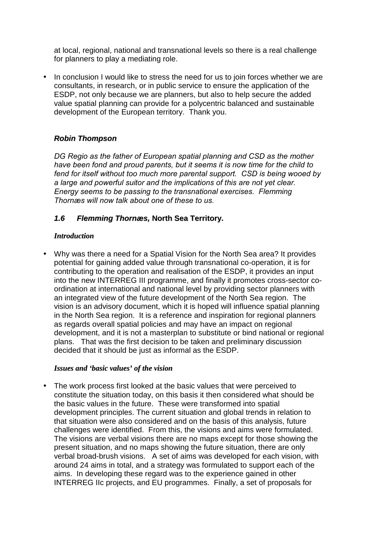<span id="page-41-0"></span>at local, regional, national and transnational levels so there is a real challenge for planners to play a mediating role.

• In conclusion I would like to stress the need for us to join forces whether we are consultants, in research, or in public service to ensure the application of the ESDP, not only because we are planners, but also to help secure the added value spatial planning can provide for a polycentric balanced and sustainable development of the European territory. Thank you.

## *Robin Thompson*

*DG Regio as the father of European spatial planning and CSD as the mother have been fond and proud parents, but it seems it is now time for the child to fend for itself without too much more parental support. CSD is being wooed by a large and powerful suitor and the implications of this are not yet clear. Energy seems to be passing to the transnational exercises. Flemming Thornæs will now talk about one of these to us.* 

## *1.6 Flemming Thornæs,* **North Sea Territory.**

#### *Introduction*

• Why was there a need for a Spatial Vision for the North Sea area? It provides potential for gaining added value through transnational co-operation, it is for contributing to the operation and realisation of the ESDP, it provides an input into the new INTERREG III programme, and finally it promotes cross-sector coordination at international and national level by providing sector planners with an integrated view of the future development of the North Sea region. The vision is an advisory document, which it is hoped will influence spatial planning in the North Sea region. It is a reference and inspiration for regional planners as regards overall spatial policies and may have an impact on regional development, and it is not a masterplan to substitute or bind national or regional plans. That was the first decision to be taken and preliminary discussion decided that it should be just as informal as the ESDP.

#### *Issues and 'basic values' of the vision*

• The work process first looked at the basic values that were perceived to constitute the situation today, on this basis it then considered what should be the basic values in the future. These were transformed into spatial development principles. The current situation and global trends in relation to that situation were also considered and on the basis of this analysis, future challenges were identified. From this, the visions and aims were formulated. The visions are verbal visions there are no maps except for those showing the present situation, and no maps showing the future situation, there are only verbal broad-brush visions. A set of aims was developed for each vision, with around 24 aims in total, and a strategy was formulated to support each of the aims. In developing these regard was to the experience gained in other INTERREG IIc projects, and EU programmes. Finally, a set of proposals for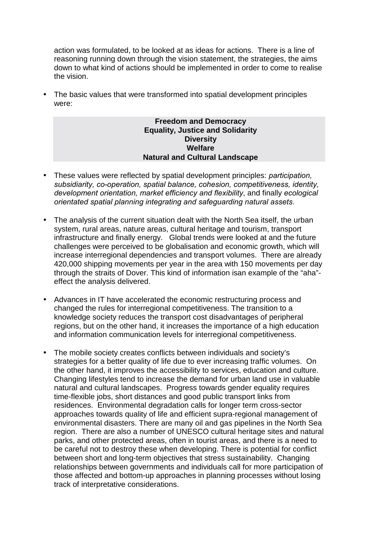action was formulated, to be looked at as ideas for actions. There is a line of reasoning running down through the vision statement, the strategies, the aims down to what kind of actions should be implemented in order to come to realise the vision.

• The basic values that were transformed into spatial development principles were:

#### **Freedom and Democracy Equality, Justice and Solidarity Diversity Welfare Natural and Cultural Landscape**

- These values were reflected by spatial development principles: *participation, subsidiarity, co-operation, spatial balance, cohesion, competitiveness, identity, development orientation, market efficiency and flexibility*, and finally *ecological orientated spatial planning integrating and safeguarding natural assets*.
- The analysis of the current situation dealt with the North Sea itself, the urban system, rural areas, nature areas, cultural heritage and tourism, transport infrastructure and finally energy. Global trends were looked at and the future challenges were perceived to be globalisation and economic growth, which will increase interregional dependencies and transport volumes. There are already 420,000 shipping movements per year in the area with 150 movements per day through the straits of Dover. This kind of information isan example of the "aha" effect the analysis delivered.
- Advances in IT have accelerated the economic restructuring process and changed the rules for interregional competitiveness. The transition to a knowledge society reduces the transport cost disadvantages of peripheral regions, but on the other hand, it increases the importance of a high education and information communication levels for interregional competitiveness.
- The mobile society creates conflicts between individuals and society's strategies for a better quality of life due to ever increasing traffic volumes. On the other hand, it improves the accessibility to services, education and culture. Changing lifestyles tend to increase the demand for urban land use in valuable natural and cultural landscapes. Progress towards gender equality requires time-flexible jobs, short distances and good public transport links from residences. Environmental degradation calls for longer term cross-sector approaches towards quality of life and efficient supra-regional management of environmental disasters. There are many oil and gas pipelines in the North Sea region. There are also a number of UNESCO cultural heritage sites and natural parks, and other protected areas, often in tourist areas, and there is a need to be careful not to destroy these when developing. There is potential for conflict between short and long-term objectives that stress sustainability. Changing relationships between governments and individuals call for more participation of those affected and bottom-up approaches in planning processes without losing track of interpretative considerations.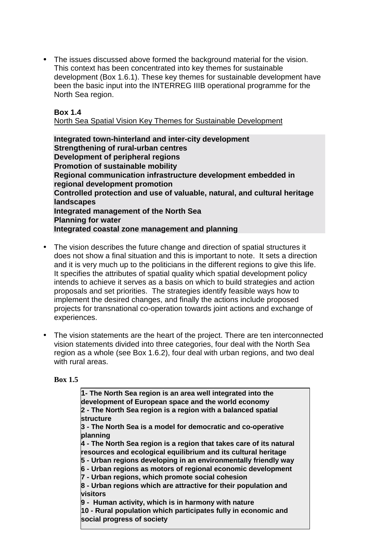• The issues discussed above formed the background material for the vision. This context has been concentrated into key themes for sustainable development (Box 1.6.1). These key themes for sustainable development have been the basic input into the INTERREG IIIB operational programme for the North Sea region.

#### **Box 1.4**

North Sea Spatial Vision Key Themes for Sustainable Development

**Integrated town-hinterland and inter-city development Strengthening of rural-urban centres Development of peripheral regions Promotion of sustainable mobility Regional communication infrastructure development embedded in regional development promotion Controlled protection and use of valuable, natural, and cultural heritage landscapes Integrated management of the North Sea Planning for water Integrated coastal zone management and planning** 

- The vision describes the future change and direction of spatial structures it does not show a final situation and this is important to note. It sets a direction and it is very much up to the politicians in the different regions to give this life. It specifies the attributes of spatial quality which spatial development policy intends to achieve it serves as a basis on which to build strategies and action proposals and set priorities. The strategies identify feasible ways how to implement the desired changes, and finally the actions include proposed projects for transnational co-operation towards joint actions and exchange of experiences.
- The vision statements are the heart of the project. There are ten interconnected vision statements divided into three categories, four deal with the North Sea region as a whole (see Box 1.6.2), four deal with urban regions, and two deal with rural areas.

#### **Box 1.5**

**1- The North Sea region is an area well integrated into the development of European space and the world economy 2 - The North Sea region is a region with a balanced spatial structure 3 - The North Sea is a model for democratic and co-operative planning 4 - The North Sea region is a region that takes care of its natural resources and ecological equilibrium and its cultural heritage 5 - Urban regions developing in an environmentally friendly way 6 - Urban regions as motors of regional economic development 7 - Urban regions, which promote social cohesion 8 - Urban regions which are attractive for their population and visitors 9 - Human activity, which is in harmony with nature 10 - Rural population which participates fully in economic and social progress of society**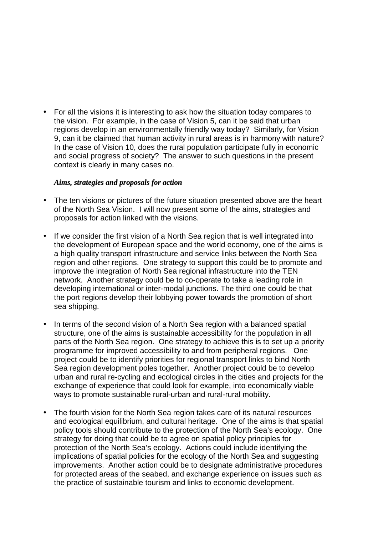• For all the visions it is interesting to ask how the situation today compares to the vision. For example, in the case of Vision 5, can it be said that urban regions develop in an environmentally friendly way today? Similarly, for Vision 9, can it be claimed that human activity in rural areas is in harmony with nature? In the case of Vision 10, does the rural population participate fully in economic and social progress of society? The answer to such questions in the present context is clearly in many cases no.

#### *Aims, strategies and proposals for action*

- The ten visions or pictures of the future situation presented above are the heart of the North Sea Vision. I will now present some of the aims, strategies and proposals for action linked with the visions.
- If we consider the first vision of a North Sea region that is well integrated into the development of European space and the world economy, one of the aims is a high quality transport infrastructure and service links between the North Sea region and other regions. One strategy to support this could be to promote and improve the integration of North Sea regional infrastructure into the TEN network. Another strategy could be to co-operate to take a leading role in developing international or inter-modal junctions. The third one could be that the port regions develop their lobbying power towards the promotion of short sea shipping.
- In terms of the second vision of a North Sea region with a balanced spatial structure, one of the aims is sustainable accessibility for the population in all parts of the North Sea region. One strategy to achieve this is to set up a priority programme for improved accessibility to and from peripheral regions. One project could be to identify priorities for regional transport links to bind North Sea region development poles together. Another project could be to develop urban and rural re-cycling and ecological circles in the cities and projects for the exchange of experience that could look for example, into economically viable ways to promote sustainable rural-urban and rural-rural mobility.
- The fourth vision for the North Sea region takes care of its natural resources and ecological equilibrium, and cultural heritage. One of the aims is that spatial policy tools should contribute to the protection of the North Sea's ecology. One strategy for doing that could be to agree on spatial policy principles for protection of the North Sea's ecology. Actions could include identifying the implications of spatial policies for the ecology of the North Sea and suggesting improvements. Another action could be to designate administrative procedures for protected areas of the seabed, and exchange experience on issues such as the practice of sustainable tourism and links to economic development.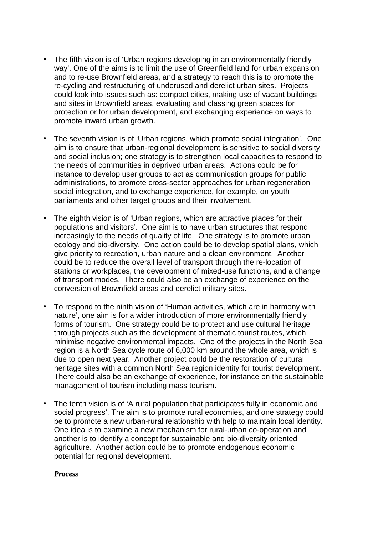- The fifth vision is of 'Urban regions developing in an environmentally friendly way'. One of the aims is to limit the use of Greenfield land for urban expansion and to re-use Brownfield areas, and a strategy to reach this is to promote the re-cycling and restructuring of underused and derelict urban sites. Projects could look into issues such as: compact cities, making use of vacant buildings and sites in Brownfield areas, evaluating and classing green spaces for protection or for urban development, and exchanging experience on ways to promote inward urban growth.
- The seventh vision is of 'Urban regions, which promote social integration'. One aim is to ensure that urban-regional development is sensitive to social diversity and social inclusion; one strategy is to strengthen local capacities to respond to the needs of communities in deprived urban areas. Actions could be for instance to develop user groups to act as communication groups for public administrations, to promote cross-sector approaches for urban regeneration social integration, and to exchange experience, for example, on youth parliaments and other target groups and their involvement.
- The eighth vision is of 'Urban regions, which are attractive places for their populations and visitors'. One aim is to have urban structures that respond increasingly to the needs of quality of life. One strategy is to promote urban ecology and bio-diversity. One action could be to develop spatial plans, which give priority to recreation, urban nature and a clean environment. Another could be to reduce the overall level of transport through the re-location of stations or workplaces, the development of mixed-use functions, and a change of transport modes. There could also be an exchange of experience on the conversion of Brownfield areas and derelict military sites.
- To respond to the ninth vision of 'Human activities, which are in harmony with nature', one aim is for a wider introduction of more environmentally friendly forms of tourism. One strategy could be to protect and use cultural heritage through projects such as the development of thematic tourist routes, which minimise negative environmental impacts. One of the projects in the North Sea region is a North Sea cycle route of 6,000 km around the whole area, which is due to open next year. Another project could be the restoration of cultural heritage sites with a common North Sea region identity for tourist development. There could also be an exchange of experience, for instance on the sustainable management of tourism including mass tourism.
- The tenth vision is of 'A rural population that participates fully in economic and social progress'. The aim is to promote rural economies, and one strategy could be to promote a new urban-rural relationship with help to maintain local identity. One idea is to examine a new mechanism for rural-urban co-operation and another is to identify a concept for sustainable and bio-diversity oriented agriculture. Another action could be to promote endogenous economic potential for regional development.

#### *Process*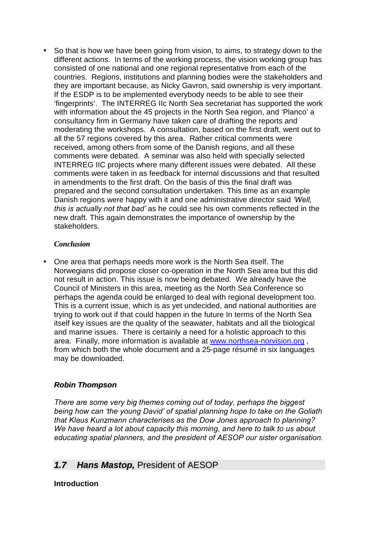<span id="page-46-0"></span>• So that is how we have been going from vision, to aims, to strategy down to the different actions. In terms of the working process, the vision working group has consisted of one national and one regional representative from each of the countries. Regions, institutions and planning bodies were the stakeholders and they are important because, as Nicky Gavron, said ownership is very important. If the ESDP is to be implemented everybody needs to be able to see their 'fingerprints'. The INTERREG IIc North Sea secretariat has supported the work with information about the 45 projects in the North Sea region, and 'Planco' a consultancy firm in Germany have taken care of drafting the reports and moderating the workshops. A consultation, based on the first draft, went out to all the 57 regions covered by this area. Rather critical comments were received, among others from some of the Danish regions, and all these comments were debated. A seminar was also held with specially selected INTERREG IIC projects where many different issues were debated. All these comments were taken in as feedback for internal discussions and that resulted in amendments to the first draft. On the basis of this the final draft was prepared and the second consultation undertaken. This time as an example Danish regions were happy with it and one administrative director said *ëWell, this is actually not that badí* as he could see his own comments reflected in the new draft. This again demonstrates the importance of ownership by the stakeholders.

#### *Conclusion*

• One area that perhaps needs more work is the North Sea itself. The Norwegians did propose closer co-operation in the North Sea area but this did not result in action. This issue is now being debated. We already have the Council of Ministers in this area, meeting as the North Sea Conference so perhaps the agenda could be enlarged to deal with regional development too. This is a current issue, which is as yet undecided, and national authorities are trying to work out if that could happen in the future In terms of the North Sea itself key issues are the quality of the seawater, habitats and all the biological and marine issues. There is certainly a need for a holistic approach to this area. Finally, more information is available at www.northsea-norvision.org , from which both the whole document and a 25-page résumé in six languages may be downloaded.

## *Robin Thompson*

*There are some very big themes coming out of today, perhaps the biggest*  being how can *the young David'* of spatial planning hope to take on the Goliath *that Klaus Kunzmann characterises as the Dow Jones approach to planning? We have heard a lot about capacity this morning, and here to talk to us about educating spatial planners, and the president of AESOP our sister organisation.* 

## *1.7 Hans Mastop,* President of AESOP

**Introduction**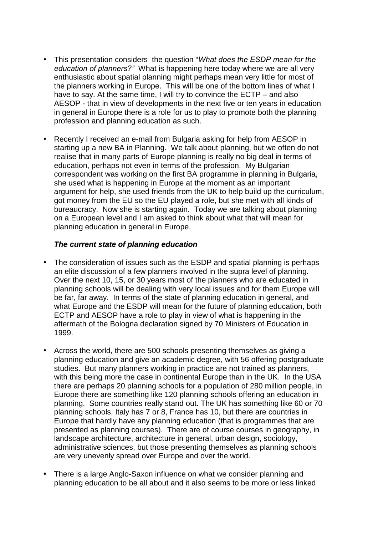- This presentation considers the question "*What does the ESDP mean for the education of planners?î* What is happening here today where we are all very enthusiastic about spatial planning might perhaps mean very little for most of the planners working in Europe. This will be one of the bottom lines of what I have to say. At the same time, I will try to convince the ECTP – and also AESOP - that in view of developments in the next five or ten years in education in general in Europe there is a role for us to play to promote both the planning profession and planning education as such.
- Recently I received an e-mail from Bulgaria asking for help from AESOP in starting up a new BA in Planning. We talk about planning, but we often do not realise that in many parts of Europe planning is really no big deal in terms of education, perhaps not even in terms of the profession. My Bulgarian correspondent was working on the first BA programme in planning in Bulgaria, she used what is happening in Europe at the moment as an important argument for help, she used friends from the UK to help build up the curriculum, got money from the EU so the EU played a role, but she met with all kinds of bureaucracy. Now she is starting again. Today we are talking about planning on a European level and I am asked to think about what that will mean for planning education in general in Europe.

#### *The current state of planning education*

- The consideration of issues such as the ESDP and spatial planning is perhaps an elite discussion of a few planners involved in the supra level of planning. Over the next 10, 15, or 30 years most of the planners who are educated in planning schools will be dealing with very local issues and for them Europe will be far, far away. In terms of the state of planning education in general, and what Europe and the ESDP will mean for the future of planning education, both ECTP and AESOP have a role to play in view of what is happening in the aftermath of the Bologna declaration signed by 70 Ministers of Education in 1999.
- Across the world, there are 500 schools presenting themselves as giving a planning education and give an academic degree, with 56 offering postgraduate studies. But many planners working in practice are not trained as planners, with this being more the case in continental Europe than in the UK. In the USA there are perhaps 20 planning schools for a population of 280 million people, in Europe there are something like 120 planning schools offering an education in planning. Some countries really stand out. The UK has something like 60 or 70 planning schools, Italy has 7 or 8, France has 10, but there are countries in Europe that hardly have any planning education (that is programmes that are presented as planning courses). There are of course courses in geography, in landscape architecture, architecture in general, urban design, sociology, administrative sciences, but those presenting themselves as planning schools are very unevenly spread over Europe and over the world.
- There is a large Anglo-Saxon influence on what we consider planning and planning education to be all about and it also seems to be more or less linked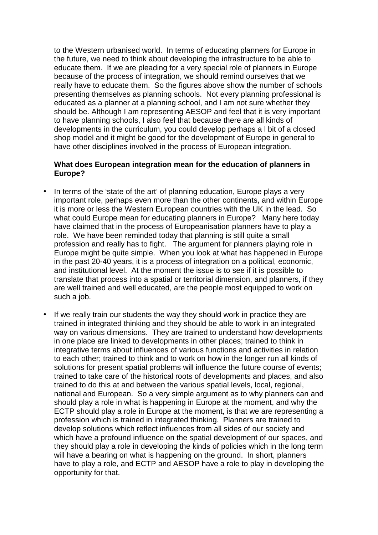to the Western urbanised world. In terms of educating planners for Europe in the future, we need to think about developing the infrastructure to be able to educate them. If we are pleading for a very special role of planners in Europe because of the process of integration, we should remind ourselves that we really have to educate them. So the figures above show the number of schools presenting themselves as planning schools. Not every planning professional is educated as a planner at a planning school, and I am not sure whether they should be. Although I am representing AESOP and feel that it is very important to have planning schools, I also feel that because there are all kinds of developments in the curriculum, you could develop perhaps a l bit of a closed shop model and it might be good for the development of Europe in general to have other disciplines involved in the process of European integration.

#### **What does European integration mean for the education of planners in Europe?**

- In terms of the 'state of the art' of planning education. Europe plays a very important role, perhaps even more than the other continents, and within Europe it is more or less the Western European countries with the UK in the lead. So what could Europe mean for educating planners in Europe? Many here today have claimed that in the process of Europeanisation planners have to play a role. We have been reminded today that planning is still quite a small profession and really has to fight. The argument for planners playing role in Europe might be quite simple. When you look at what has happened in Europe in the past 20-40 years, it is a process of integration on a political, economic, and institutional level. At the moment the issue is to see if it is possible to translate that process into a spatial or territorial dimension, and planners, if they are well trained and well educated, are the people most equipped to work on such a job.
- If we really train our students the way they should work in practice they are trained in integrated thinking and they should be able to work in an integrated way on various dimensions. They are trained to understand how developments in one place are linked to developments in other places; trained to think in integrative terms about influences of various functions and activities in relation to each other; trained to think and to work on how in the longer run all kinds of solutions for present spatial problems will influence the future course of events; trained to take care of the historical roots of developments and places, and also trained to do this at and between the various spatial levels, local, regional, national and European. So a very simple argument as to why planners can and should play a role in what is happening in Europe at the moment, and why the ECTP should play a role in Europe at the moment, is that we are representing a profession which is trained in integrated thinking. Planners are trained to develop solutions which reflect influences from all sides of our society and which have a profound influence on the spatial development of our spaces, and they should play a role in developing the kinds of policies which in the long term will have a bearing on what is happening on the ground. In short, planners have to play a role, and ECTP and AESOP have a role to play in developing the opportunity for that.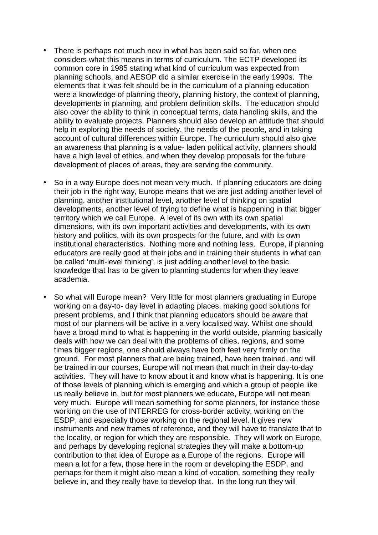- There is perhaps not much new in what has been said so far, when one considers what this means in terms of curriculum. The ECTP developed its common core in 1985 stating what kind of curriculum was expected from planning schools, and AESOP did a similar exercise in the early 1990s. The elements that it was felt should be in the curriculum of a planning education were a knowledge of planning theory, planning history, the context of planning, developments in planning, and problem definition skills. The education should also cover the ability to think in conceptual terms, data handling skills, and the ability to evaluate projects. Planners should also develop an attitude that should help in exploring the needs of society, the needs of the people, and in taking account of cultural differences within Europe. The curriculum should also give an awareness that planning is a value- laden political activity, planners should have a high level of ethics, and when they develop proposals for the future development of places of areas, they are serving the community.
- So in a way Europe does not mean very much. If planning educators are doing their job in the right way. Europe means that we are just adding another level of planning, another institutional level, another level of thinking on spatial developments, another level of trying to define what is happening in that bigger territory which we call Europe. A level of its own with its own spatial dimensions, with its own important activities and developments, with its own history and politics, with its own prospects for the future, and with its own institutional characteristics. Nothing more and nothing less. Europe, if planning educators are really good at their jobs and in training their students in what can be called 'multi-level thinking', is just adding another level to the basic knowledge that has to be given to planning students for when they leave academia.
- So what will Europe mean? Very little for most planners graduating in Europe working on a day-to- day level in adapting places, making good solutions for present problems, and I think that planning educators should be aware that most of our planners will be active in a very localised way. Whilst one should have a broad mind to what is happening in the world outside, planning basically deals with how we can deal with the problems of cities, regions, and some times bigger regions, one should always have both feet very firmly on the ground. For most planners that are being trained, have been trained, and will be trained in our courses, Europe will not mean that much in their day-to-day activities. They will have to know about it and know what is happening. It is one of those levels of planning which is emerging and which a group of people like us really believe in, but for most planners we educate, Europe will not mean very much. Europe will mean something for some planners, for instance those working on the use of INTERREG for cross-border activity, working on the ESDP, and especially those working on the regional level. It gives new instruments and new frames of reference, and they will have to translate that to the locality, or region for which they are responsible. They will work on Europe, and perhaps by developing regional strategies they will make a bottom-up contribution to that idea of Europe as a Europe of the regions. Europe will mean a lot for a few, those here in the room or developing the ESDP, and perhaps for them it might also mean a kind of vocation, something they really believe in, and they really have to develop that. In the long run they will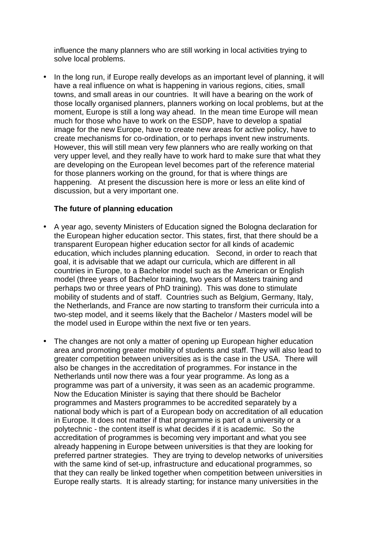influence the many planners who are still working in local activities trying to solve local problems.

• In the long run, if Europe really develops as an important level of planning, it will have a real influence on what is happening in various regions, cities, small towns, and small areas in our countries. It will have a bearing on the work of those locally organised planners, planners working on local problems, but at the moment, Europe is still a long way ahead. In the mean time Europe will mean much for those who have to work on the ESDP, have to develop a spatial image for the new Europe, have to create new areas for active policy, have to create mechanisms for co-ordination, or to perhaps invent new instruments. However, this will still mean very few planners who are really working on that very upper level, and they really have to work hard to make sure that what they are developing on the European level becomes part of the reference material for those planners working on the ground, for that is where things are happening. At present the discussion here is more or less an elite kind of discussion, but a very important one.

#### **The future of planning education**

- A year ago, seventy Ministers of Education signed the Bologna declaration for the European higher education sector. This states, first, that there should be a transparent European higher education sector for all kinds of academic education, which includes planning education. Second, in order to reach that goal, it is advisable that we adapt our curricula, which are different in all countries in Europe, to a Bachelor model such as the American or English model (three years of Bachelor training, two years of Masters training and perhaps two or three years of PhD training). This was done to stimulate mobility of students and of staff. Countries such as Belgium, Germany, Italy, the Netherlands, and France are now starting to transform their curricula into a two-step model, and it seems likely that the Bachelor / Masters model will be the model used in Europe within the next five or ten years.
- The changes are not only a matter of opening up European higher education area and promoting greater mobility of students and staff. They will also lead to greater competition between universities as is the case in the USA. There will also be changes in the accreditation of programmes. For instance in the Netherlands until now there was a four year programme. As long as a programme was part of a university, it was seen as an academic programme. Now the Education Minister is saying that there should be Bachelor programmes and Masters programmes to be accredited separately by a national body which is part of a European body on accreditation of all education in Europe. It does not matter if that programme is part of a university or a polytechnic - the content itself is what decides if it is academic. So the accreditation of programmes is becoming very important and what you see already happening in Europe between universities is that they are looking for preferred partner strategies. They are trying to develop networks of universities with the same kind of set-up, infrastructure and educational programmes, so that they can really be linked together when competition between universities in Europe really starts. It is already starting; for instance many universities in the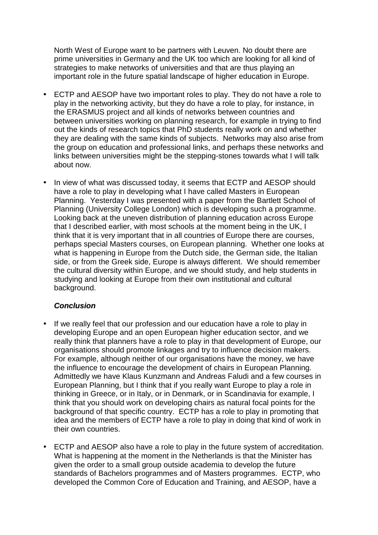North West of Europe want to be partners with Leuven. No doubt there are prime universities in Germany and the UK too which are looking for all kind of strategies to make networks of universities and that are thus playing an important role in the future spatial landscape of higher education in Europe.

- ECTP and AESOP have two important roles to play. They do not have a role to play in the networking activity, but they do have a role to play, for instance, in the ERASMUS project and all kinds of networks between countries and between universities working on planning research, for example in trying to find out the kinds of research topics that PhD students really work on and whether they are dealing with the same kinds of subjects. Networks may also arise from the group on education and professional links, and perhaps these networks and links between universities might be the stepping-stones towards what I will talk about now.
- In view of what was discussed today, it seems that ECTP and AESOP should have a role to play in developing what I have called Masters in European Planning. Yesterday I was presented with a paper from the Bartlett School of Planning (University College London) which is developing such a programme. Looking back at the uneven distribution of planning education across Europe that I described earlier, with most schools at the moment being in the UK, I think that it is very important that in all countries of Europe there are courses, perhaps special Masters courses, on European planning. Whether one looks at what is happening in Europe from the Dutch side, the German side, the Italian side, or from the Greek side, Europe is always different. We should remember the cultural diversity within Europe, and we should study, and help students in studying and looking at Europe from their own institutional and cultural background.

## *Conclusion*

- If we really feel that our profession and our education have a role to play in developing Europe and an open European higher education sector, and we really think that planners have a role to play in that development of Europe, our organisations should promote linkages and try to influence decision makers. For example, although neither of our organisations have the money, we have the influence to encourage the development of chairs in European Planning. Admittedly we have Klaus Kunzmann and Andreas Faludi and a few courses in European Planning, but I think that if you really want Europe to play a role in thinking in Greece, or in Italy, or in Denmark, or in Scandinavia for example, I think that you should work on developing chairs as natural focal points for the background of that specific country. ECTP has a role to play in promoting that idea and the members of ECTP have a role to play in doing that kind of work in their own countries.
- ECTP and AESOP also have a role to play in the future system of accreditation. What is happening at the moment in the Netherlands is that the Minister has given the order to a small group outside academia to develop the future standards of Bachelors programmes and of Masters programmes. ECTP, who developed the Common Core of Education and Training, and AESOP, have a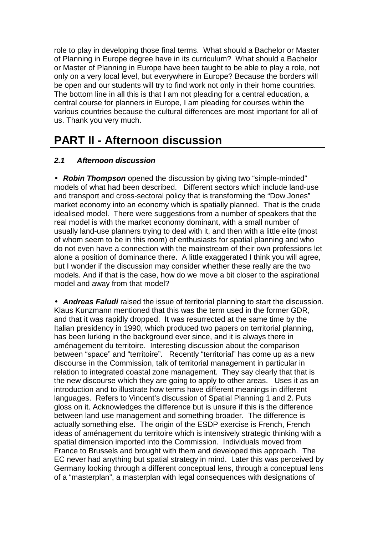<span id="page-52-0"></span>role to play in developing those final terms. What should a Bachelor or Master of Planning in Europe degree have in its curriculum? What should a Bachelor or Master of Planning in Europe have been taught to be able to play a role, not only on a very local level, but everywhere in Europe? Because the borders will be open and our students will try to find work not only in their home countries. The bottom line in all this is that I am not pleading for a central education, a central course for planners in Europe, I am pleading for courses within the various countries because the cultural differences are most important for all of us. Thank you very much.

# **PART II - Afternoon discussion**

## *2.1 Afternoon discussion*

• *Robin Thompson* opened the discussion by giving two "simple-minded" models of what had been described. Different sectors which include land-use and transport and cross-sectoral policy that is transforming the "Dow Jones" market economy into an economy which is spatially planned. That is the crude idealised model. There were suggestions from a number of speakers that the real model is with the market economy dominant, with a small number of usually land-use planners trying to deal with it, and then with a little elite (most of whom seem to be in this room) of enthusiasts for spatial planning and who do not even have a connection with the mainstream of their own professions let alone a position of dominance there. A little exaggerated I think you will agree, but I wonder if the discussion may consider whether these really are the two models. And if that is the case, how do we move a bit closer to the aspirational model and away from that model?

• *Andreas Faludi* raised the issue of territorial planning to start the discussion. Klaus Kunzmann mentioned that this was the term used in the former GDR, and that it was rapidly dropped. It was resurrected at the same time by the Italian presidency in 1990, which produced two papers on territorial planning, has been lurking in the background ever since, and it is always there in aménagement du territoire. Interesting discussion about the comparison between "space" and "territoire". Recently "territorial" has come up as a new discourse in the Commission, talk of territorial management in particular in relation to integrated coastal zone management. They say clearly that that is the new discourse which they are going to apply to other areas. Uses it as an introduction and to illustrate how terms have different meanings in different languages. Refers to Vincent's discussion of Spatial Planning 1 and 2. Puts gloss on it. Acknowledges the difference but is unsure if this is the difference between land use management and something broader. The difference is actually something else. The origin of the ESDP exercise is French, French ideas of aménagement du territoire which is intensively strategic thinking with a spatial dimension imported into the Commission. Individuals moved from France to Brussels and brought with them and developed this approach. The EC never had anything but spatial strategy in mind. Later this was perceived by Germany looking through a different conceptual lens, through a conceptual lens of a "masterplan", a masterplan with legal consequences with designations of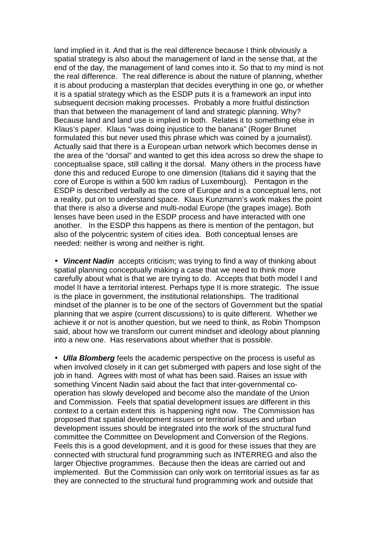land implied in it. And that is the real difference because I think obviously a spatial strategy is also about the management of land in the sense that, at the end of the day, the management of land comes into it. So that to my mind is not the real difference. The real difference is about the nature of planning, whether it is about producing a masterplan that decides everything in one go, or whether it is a spatial strategy which as the ESDP puts it is a framework an input into subsequent decision making processes. Probably a more fruitful distinction than that between the management of land and strategic planning. Why? Because land and land use is implied in both. Relates it to something else in Klaus's paper. Klaus "was doing injustice to the banana" (Roger Brunet formulated this but never used this phrase which was coined by a journalist). Actually said that there is a European urban network which becomes dense in the area of the "dorsal" and wanted to get this idea across so drew the shape to conceptualise space, still calling it the dorsal. Many others in the process have done this and reduced Europe to one dimension (Italians did it saying that the core of Europe is within a 500 km radius of Luxembourg). Pentagon in the ESDP is described verbally as the core of Europe and is a conceptual lens, not a reality, put on to understand space. Klaus Kunzmann's work makes the point that there is also a diverse and multi-nodal Europe (the grapes image). Both lenses have been used in the ESDP process and have interacted with one another. In the ESDP this happens as there is mention of the pentagon, but also of the polycentric system of cities idea. Both conceptual lenses are needed: neither is wrong and neither is right.

• *Vincent Nadin* accepts criticism; was trying to find a way of thinking about spatial planning conceptually making a case that we need to think more carefully about what is that we are trying to do. Accepts that both model I and model II have a territorial interest. Perhaps type II is more strategic. The issue is the place in government, the institutional relationships. The traditional mindset of the planner is to be one of the sectors of Government but the spatial planning that we aspire (current discussions) to is quite different. Whether we achieve it or not is another question, but we need to think, as Robin Thompson said, about how we transform our current mindset and ideology about planning into a new one. Has reservations about whether that is possible.

• *Ulla Blomberg* feels the academic perspective on the process is useful as when involved closely in it can get submerged with papers and lose sight of the job in hand. Agrees with most of what has been said. Raises an issue with something Vincent Nadin said about the fact that inter-governmental cooperation has slowly developed and become also the mandate of the Union and Commission. Feels that spatial development issues are different in this context to a certain extent this is happening right now. The Commission has proposed that spatial development issues or territorial issues and urban development issues should be integrated into the work of the structural fund committee the Committee on Development and Conversion of the Regions. Feels this is a good development, and it is good for these issues that they are connected with structural fund programming such as INTERREG and also the larger Objective programmes. Because then the ideas are carried out and implemented. But the Commission can only work on territorial issues as far as they are connected to the structural fund programming work and outside that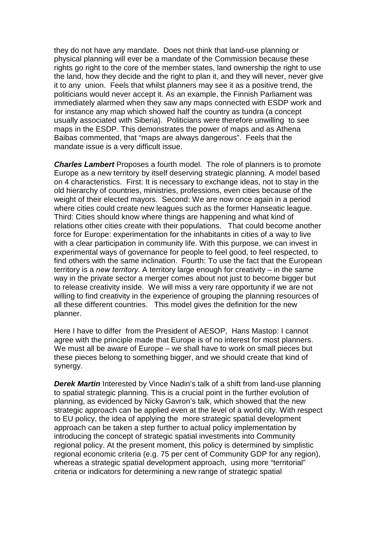they do not have any mandate. Does not think that land-use planning or physical planning will ever be a mandate of the Commission because these rights go right to the core of the member states, land ownership the right to use the land, how they decide and the right to plan it, and they will never, never give it to any union. Feels that whilst planners may see it as a positive trend, the politicians would never accept it. As an example, the Finnish Parliament was immediately alarmed when they saw any maps connected with ESDP work and for instance any map which showed half the country as tundra (a concept usually associated with Siberia). Politicians were therefore unwilling to see maps in the ESDP. This demonstrates the power of maps and as Athena Baibas commented, that "maps are always dangerous". Feels that the mandate issue is a very difficult issue.

*Charles Lambert* Proposes a fourth model. The role of planners is to promote Europe as a new territory by itself deserving strategic planning. A model based on 4 characteristics. First: It is necessary to exchange ideas, not to stay in the old hierarchy of countries, ministries, professions, even cities because of the weight of their elected mayors. Second: We are now once again in a period where cities could create new leagues such as the former Hanseatic league. Third: Cities should know where things are happening and what kind of relations other cities create with their populations. That could become another force for Europe: experimentation for the inhabitants in cities of a way to live with a clear participation in community life. With this purpose, we can invest in experimental ways of governance for people to feel good, to feel respected, to find others with the same inclination. Fourth: To use the fact that the European territory is a *new territory*. A territory large enough for creativity – in the same way in the private sector a merger comes about not just to become bigger but to release creativity inside. We will miss a very rare opportunity if we are not willing to find creativity in the experience of grouping the planning resources of all these different countries. This model gives the definition for the new planner.

Here I have to differ from the President of AESOP, Hans Mastop: I cannot agree with the principle made that Europe is of no interest for most planners. We must all be aware of Europe – we shall have to work on small pieces but these pieces belong to something bigger, and we should create that kind of synergy.

**Derek Martin** Interested by Vince Nadin's talk of a shift from land-use planning to spatial strategic planning. This is a crucial point in the further evolution of planning, as evidenced by Nicky Gavron's talk, which showed that the new strategic approach can be applied even at the level of a world city. With respect to EU policy, the idea of applying the more strategic spatial development approach can be taken a step further to actual policy implementation by introducing the concept of strategic spatial investments into Community regional policy. At the present moment, this policy is determined by simplistic regional economic criteria (e.g. 75 per cent of Community GDP for any region), whereas a strategic spatial development approach, using more "territorial" criteria or indicators for determining a new range of strategic spatial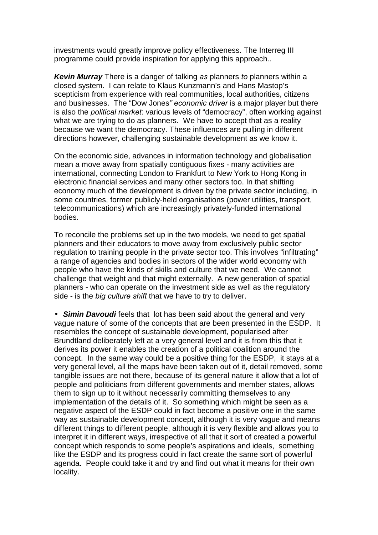investments would greatly improve policy effectiveness. The Interreg III programme could provide inspiration for applying this approach..

*Kevin Murray* There is a danger of talking *as* planners *to* planners within a closed system. I can relate to Klaus Kunzmann's and Hans Mastop's scepticism from experience with real communities, local authorities, citizens and businesses. The "Dow Jones*î economic driver* is a major player but there is also the *political market*: various levels of "democracy", often working against what we are trying to do as planners. We have to accept that as a reality because we want the democracy. These influences are pulling in different directions however, challenging sustainable development as we know it.

On the economic side, advances in information technology and globalisation mean a move away from spatially contiguous fixes - many activities are international, connecting London to Frankfurt to New York to Hong Kong in electronic financial services and many other sectors too. In that shifting economy much of the development is driven by the private sector including, in some countries, former publicly-held organisations (power utilities, transport, telecommunications) which are increasingly privately-funded international bodies.

To reconcile the problems set up in the two models, we need to get spatial planners and their educators to move away from exclusively public sector regulation to training people in the private sector too. This involves "infiltrating" a range of agencies and bodies in sectors of the wider world economy with people who have the kinds of skills and culture that we need. We cannot challenge that weight and that might externally. A new generation of spatial planners - who can operate on the investment side as well as the regulatory side - is the *big culture shift* that we have to try to deliver.

• *Simin Davoudi* feels that lot has been said about the general and very vague nature of some of the concepts that are been presented in the ESDP. It resembles the concept of sustainable development, popularised after Brundtland deliberately left at a very general level and it is from this that it derives its power it enables the creation of a political coalition around the concept. In the same way could be a positive thing for the ESDP, it stays at a very general level, all the maps have been taken out of it, detail removed, some tangible issues are not there, because of its general nature it allow that a lot of people and politicians from different governments and member states, allows them to sign up to it without necessarily committing themselves to any implementation of the details of it. So something which might be seen as a negative aspect of the ESDP could in fact become a positive one in the same way as sustainable development concept, although it is very vague and means different things to different people, although it is very flexible and allows you to interpret it in different ways, irrespective of all that it sort of created a powerful concept which responds to some people's aspirations and ideals, something like the ESDP and its progress could in fact create the same sort of powerful agenda. People could take it and try and find out what it means for their own locality.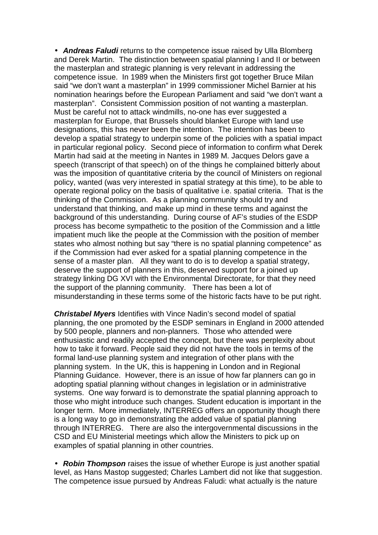• *Andreas Faludi* returns to the competence issue raised by Ulla Blomberg and Derek Martin. The distinction between spatial planning I and II or between the masterplan and strategic planning is very relevant in addressing the competence issue. In 1989 when the Ministers first got together Bruce Milan said "we don't want a masterplan" in 1999 commissioner Michel Barnier at his nomination hearings before the European Parliament and said "we don't want a masterplan". Consistent Commission position of not wanting a masterplan. Must be careful not to attack windmills, no-one has ever suggested a masterplan for Europe, that Brussels should blanket Europe with land use designations, this has never been the intention. The intention has been to develop a spatial strategy to underpin some of the policies with a spatial impact in particular regional policy. Second piece of information to confirm what Derek Martin had said at the meeting in Nantes in 1989 M. Jacques Delors gave a speech (transcript of that speech) on of the things he complained bitterly about was the imposition of quantitative criteria by the council of Ministers on regional policy, wanted (was very interested in spatial strategy at this time), to be able to operate regional policy on the basis of qualitative i.e. spatial criteria. That is the thinking of the Commission. As a planning community should try and understand that thinking, and make up mind in these terms and against the background of this understanding. During course of AF's studies of the ESDP process has become sympathetic to the position of the Commission and a little impatient much like the people at the Commission with the position of member states who almost nothing but say "there is no spatial planning competence" as if the Commission had ever asked for a spatial planning competence in the sense of a master plan. All they want to do is to develop a spatial strategy, deserve the support of planners in this, deserved support for a joined up strategy linking DG XVI with the Environmental Directorate, for that they need the support of the planning community. There has been a lot of misunderstanding in these terms some of the historic facts have to be put right.

*Christabel Myers* Identifies with Vince Nadin's second model of spatial planning, the one promoted by the ESDP seminars in England in 2000 attended by 500 people, planners and non-planners. Those who attended were enthusiastic and readily accepted the concept, but there was perplexity about how to take it forward. People said they did not have the tools in terms of the formal land-use planning system and integration of other plans with the planning system. In the UK, this is happening in London and in Regional Planning Guidance. However, there is an issue of how far planners can go in adopting spatial planning without changes in legislation or in administrative systems. One way forward is to demonstrate the spatial planning approach to those who might introduce such changes. Student education is important in the longer term. More immediately, INTERREG offers an opportunity though there is a long way to go in demonstrating the added value of spatial planning through INTERREG. There are also the intergovernmental discussions in the CSD and EU Ministerial meetings which allow the Ministers to pick up on examples of spatial planning in other countries.

• *Robin Thompson* raises the issue of whether Europe is just another spatial level, as Hans Mastop suggested; Charles Lambert did not like that suggestion. The competence issue pursued by Andreas Faludi: what actually is the nature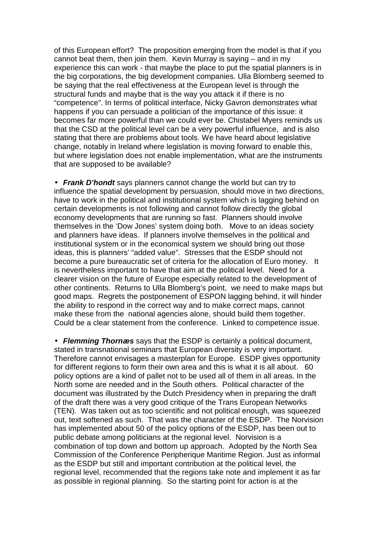of this European effort? The proposition emerging from the model is that if you cannot beat them, then join them. Kevin Murray is saying – and in my experience this can work - that maybe the place to put the spatial planners is in the big corporations, the big development companies. Ulla Blomberg seemed to be saying that the real effectiveness at the European level is through the structural funds and maybe that is the way you attack it if there is no "competence". In terms of political interface, Nicky Gavron demonstrates what happens if you can persuade a politician of the importance of this issue: it becomes far more powerful than we could ever be. Chistabel Myers reminds us that the CSD at the political level can be a very powerful influence, and is also stating that there are problems about tools. We have heard about legislative change, notably in Ireland where legislation is moving forward to enable this, but where legislation does not enable implementation, what are the instruments that are supposed to be available?

• *Frank D'hondt* says planners cannot change the world but can try to influence the spatial development by persuasion, should move in two directions, have to work in the political and institutional system which is lagging behind on certain developments is not following and cannot follow directly the global economy developments that are running so fast. Planners should involve themselves in the 'Dow Jones' system doing both. Move to an ideas society and planners have ideas. If planners involve themselves in the political and institutional system or in the economical system we should bring out those ideas, this is planners' "added value". Stresses that the ESDP should not become a pure bureaucratic set of criteria for the allocation of Euro money. It is nevertheless important to have that aim at the political level. Need for a clearer vision on the future of Europe especially related to the development of other continents. Returns to Ulla Blomberg's point, we need to make maps but good maps. Regrets the postponement of ESPON lagging behind, it will hinder the ability to respond in the correct way and to make correct maps, cannot make these from the national agencies alone, should build them together. Could be a clear statement from the conference. Linked to competence issue.

• *Flemming Thornæs* says that the ESDP is certainly a political document, stated in transnational seminars that European diversity is very important. Therefore cannot envisages a masterplan for Europe. ESDP gives opportunity for different regions to form their own area and this is what it is all about. 60 policy options are a kind of pallet not to be used all of them in all areas. In the North some are needed and in the South others. Political character of the document was illustrated by the Dutch Presidency when in preparing the draft of the draft there was a very good critique of the Trans European Networks (TEN). Was taken out as too scientific and not political enough, was squeezed out, text softened as such. That was the character of the ESDP. The Norvision has implemented about 50 of the policy options of the ESDP, has been out to public debate among politicians at the regional level. Norvision is a combination of top down and bottom up approach. Adopted by the North Sea Commission of the Conference Peripherique Maritime Region. Just as informal as the ESDP but still and important contribution at the political level, the regional level, recommended that the regions take note and implement it as far as possible in regional planning. So the starting point for action is at the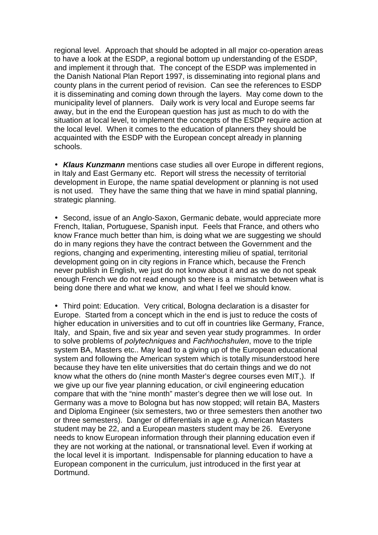regional level. Approach that should be adopted in all major co-operation areas to have a look at the ESDP, a regional bottom up understanding of the ESDP, and implement it through that. The concept of the ESDP was implemented in the Danish National Plan Report 1997, is disseminating into regional plans and county plans in the current period of revision. Can see the references to ESDP it is disseminating and coming down through the layers. May come down to the municipality level of planners. Daily work is very local and Europe seems far away, but in the end the European question has just as much to do with the situation at local level, to implement the concepts of the ESDP require action at the local level. When it comes to the education of planners they should be acquainted with the ESDP with the European concept already in planning schools.

• *Klaus Kunzmann* mentions case studies all over Europe in different regions, in Italy and East Germany etc. Report will stress the necessity of territorial development in Europe, the name spatial development or planning is not used is not used. They have the same thing that we have in mind spatial planning, strategic planning.

• Second, issue of an Anglo-Saxon, Germanic debate, would appreciate more French, Italian, Portuguese, Spanish input. Feels that France, and others who know France much better than him, is doing what we are suggesting we should do in many regions they have the contract between the Government and the regions, changing and experimenting, interesting milieu of spatial, territorial development going on in city regions in France which, because the French never publish in English, we just do not know about it and as we do not speak enough French we do not read enough so there is a mismatch between what is being done there and what we know, and what I feel we should know.

• Third point: Education. Very critical, Bologna declaration is a disaster for Europe. Started from a concept which in the end is just to reduce the costs of higher education in universities and to cut off in countries like Germany, France, Italy, and Spain, five and six year and seven year study programmes. In order to solve problems of *polytechniques* and *Fachhochshulen*, move to the triple system BA, Masters etc.. May lead to a giving up of the European educational system and following the American system which is totally misunderstood here because they have ten elite universities that do certain things and we do not know what the others do (nine month Master's degree courses even MIT,). If we give up our five year planning education, or civil engineering education compare that with the "nine month" master's degree then we will lose out. In Germany was a move to Bologna but has now stopped; will retain BA, Masters and Diploma Engineer (six semesters, two or three semesters then another two or three semesters). Danger of differentials in age e.g. American Masters student may be 22, and a European masters student may be 26. Everyone needs to know European information through their planning education even if they are not working at the national, or transnational level. Even if working at the local level it is important. Indispensable for planning education to have a European component in the curriculum, just introduced in the first year at Dortmund.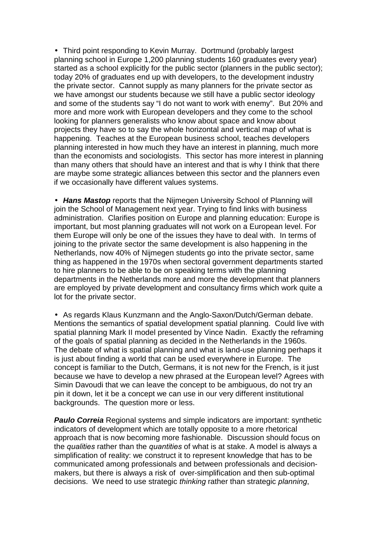• Third point responding to Kevin Murray. Dortmund (probably largest planning school in Europe 1,200 planning students 160 graduates every year) started as a school explicitly for the public sector (planners in the public sector); today 20% of graduates end up with developers, to the development industry the private sector. Cannot supply as many planners for the private sector as we have amongst our students because we still have a public sector ideology and some of the students say "I do not want to work with enemy". But 20% and more and more work with European developers and they come to the school looking for planners generalists who know about space and know about projects they have so to say the whole horizontal and vertical map of what is happening. Teaches at the European business school, teaches developers planning interested in how much they have an interest in planning, much more than the economists and sociologists. This sector has more interest in planning than many others that should have an interest and that is why I think that there are maybe some strategic alliances between this sector and the planners even if we occasionally have different values systems.

• *Hans Mastop* reports that the Nijmegen University School of Planning will join the School of Management next year. Trying to find links with business administration. Clarifies position on Europe and planning education: Europe is important, but most planning graduates will not work on a European level. For them Europe will only be one of the issues they have to deal with. In terms of joining to the private sector the same development is also happening in the Netherlands, now 40% of Nijmegen students go into the private sector, same thing as happened in the 1970s when sectoral government departments started to hire planners to be able to be on speaking terms with the planning departments in the Netherlands more and more the development that planners are employed by private development and consultancy firms which work quite a lot for the private sector.

• As regards Klaus Kunzmann and the Anglo-Saxon/Dutch/German debate. Mentions the semantics of spatial development spatial planning. Could live with spatial planning Mark II model presented by Vince Nadin. Exactly the reframing of the goals of spatial planning as decided in the Netherlands in the 1960s. The debate of what is spatial planning and what is land-use planning perhaps it is just about finding a world that can be used everywhere in Europe. The concept is familiar to the Dutch, Germans, it is not new for the French, is it just because we have to develop a new phrased at the European level? Agrees with Simin Davoudi that we can leave the concept to be ambiguous, do not try an pin it down, let it be a concept we can use in our very different institutional backgrounds. The question more or less.

**Paulo Correia** Regional systems and simple indicators are important: synthetic indicators of development which are totally opposite to a more rhetorical approach that is now becoming more fashionable. Discussion should focus on the *qualities* rather than the *quantities* of what is at stake. A model is always a simplification of reality: we construct it to represent knowledge that has to be communicated among professionals and between professionals and decisionmakers, but there is always a risk of over-simplification and then sub-optimal decisions. We need to use strategic *thinking* rather than strategic *planning*,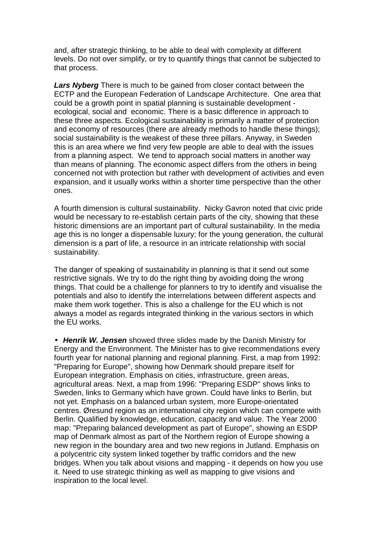and, after strategic thinking, to be able to deal with complexity at different levels. Do not over simplify, or try to quantify things that cannot be subjected to that process.

*Lars Nyberg* There is much to be gained from closer contact between the ECTP and the European Federation of Landscape Architecture. One area that could be a growth point in spatial planning is sustainable development ecological, social and economic. There is a basic difference in approach to these three aspects. Ecological sustainability is primarily a matter of protection and economy of resources (there are already methods to handle these things); social sustainability is the weakest of these three pillars. Anyway, in Sweden this is an area where we find very few people are able to deal with the issues from a planning aspect. We tend to approach social matters in another way than means of planning. The economic aspect differs from the others in being concerned not with protection but rather with development of activities and even expansion, and it usually works within a shorter time perspective than the other ones.

A fourth dimension is cultural sustainability. Nicky Gavron noted that civic pride would be necessary to re-establish certain parts of the city, showing that these historic dimensions are an important part of cultural sustainability. In the media age this is no longer a dispensable luxury; for the young generation, the cultural dimension is a part of life, a resource in an intricate relationship with social sustainability.

The danger of speaking of sustainability in planning is that it send out some restrictive signals. We try to do the right thing by avoiding doing the wrong things. That could be a challenge for planners to try to identify and visualise the potentials and also to identify the interrelations between different aspects and make them work together. This is also a challenge for the EU which is not always a model as regards integrated thinking in the various sectors in which the EU works.

• *Henrik W. Jensen* showed three slides made by the Danish Ministry for Energy and the Environment. The Minister has to give recommendations every fourth year for national planning and regional planning. First, a map from 1992: "Preparing for Europe", showing how Denmark should prepare itself for European integration. Emphasis on cities, infrastructure, green areas, agricultural areas. Next, a map from 1996: "Preparing ESDP" shows links to Sweden, links to Germany which have grown. Could have links to Berlin, but not yet. Emphasis on a balanced urban system, more Europe-orientated centres. Øresund region as an international city region which can compete with Berlin. Qualified by knowledge, education, capacity and value. The Year 2000 map: "Preparing balanced development as part of Europe", showing an ESDP map of Denmark almost as part of the Northern region of Europe showing a new region in the boundary area and two new regions in Jutland. Emphasis on a polycentric city system linked together by traffic corridors and the new bridges. When you talk about visions and mapping - it depends on how you use it. Need to use strategic thinking as well as mapping to give visions and inspiration to the local level.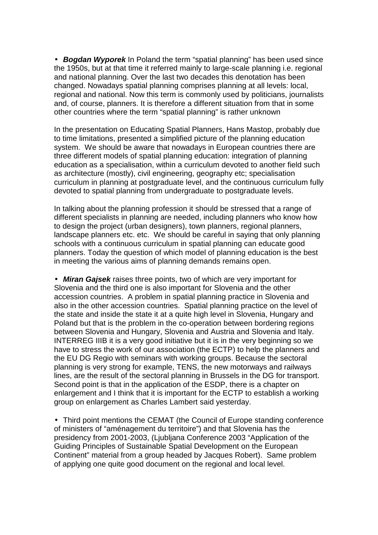• *Bogdan Wyporek* In Poland the term "spatial planning" has been used since the 1950s, but at that time it referred mainly to large-scale planning i.e. regional and national planning. Over the last two decades this denotation has been changed. Nowadays spatial planning comprises planning at all levels: local, regional and national. Now this term is commonly used by politicians, journalists and, of course, planners. It is therefore a different situation from that in some other countries where the term "spatial planning" is rather unknown

In the presentation on Educating Spatial Planners, Hans Mastop, probably due to time limitations, presented a simplified picture of the planning education system. We should be aware that nowadays in European countries there are three different models of spatial planning education: integration of planning education as a specialisation, within a curriculum devoted to another field such as architecture (mostly), civil engineering, geography etc; specialisation curriculum in planning at postgraduate level, and the continuous curriculum fully devoted to spatial planning from undergraduate to postgraduate levels.

In talking about the planning profession it should be stressed that a range of different specialists in planning are needed, including planners who know how to design the project (urban designers), town planners, regional planners, landscape planners etc. etc. We should be careful in saying that only planning schools with a continuous curriculum in spatial planning can educate good planners. Today the question of which model of planning education is the best in meeting the various aims of planning demands remains open.

• *Miran Gajsek* raises three points, two of which are very important for Slovenia and the third one is also important for Slovenia and the other accession countries. A problem in spatial planning practice in Slovenia and also in the other accession countries. Spatial planning practice on the level of the state and inside the state it at a quite high level in Slovenia, Hungary and Poland but that is the problem in the co-operation between bordering regions between Slovenia and Hungary, Slovenia and Austria and Slovenia and Italy. INTERREG IIIB it is a very good initiative but it is in the very beginning so we have to stress the work of our association (the ECTP) to help the planners and the EU DG Regio with seminars with working groups. Because the sectoral planning is very strong for example, TENS, the new motorways and railways lines, are the result of the sectoral planning in Brussels in the DG for transport. Second point is that in the application of the ESDP, there is a chapter on enlargement and I think that it is important for the ECTP to establish a working group on enlargement as Charles Lambert said yesterday.

• Third point mentions the CEMAT (the Council of Europe standing conference of ministers of "aménagement du territoire") and that Slovenia has the presidency from 2001-2003, (Ljubljana Conference 2003 "Application of the Guiding Principles of Sustainable Spatial Development on the European Continent" material from a group headed by Jacques Robert). Same problem of applying one quite good document on the regional and local level.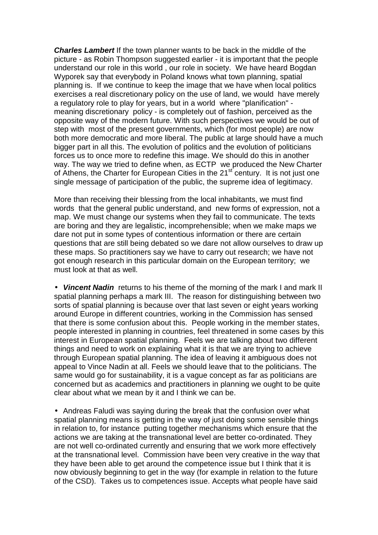*Charles Lambert* If the town planner wants to be back in the middle of the picture - as Robin Thompson suggested earlier - it is important that the people understand our role in this world , our role in society. We have heard Bogdan Wyporek say that everybody in Poland knows what town planning, spatial planning is. If we continue to keep the image that we have when local politics exercises a real discretionary policy on the use of land, we would have merely a regulatory role to play for years, but in a world where "planification" meaning discretionary policy - is completely out of fashion, perceived as the opposite way of the modern future. With such perspectives we would be out of step with most of the present governments, which (for most people) are now both more democratic and more liberal. The public at large should have a much bigger part in all this. The evolution of politics and the evolution of politicians forces us to once more to redefine this image. We should do this in another way. The way we tried to define when, as ECTP we produced the New Charter of Athens, the Charter for European Cities in the  $21<sup>st</sup>$  century. It is not just one single message of participation of the public, the supreme idea of legitimacy.

More than receiving their blessing from the local inhabitants, we must find words that the general public understand, and new forms of expression, not a map. We must change our systems when they fail to communicate. The texts are boring and they are legalistic, incomprehensible; when we make maps we dare not put in some types of contentious information or there are certain questions that are still being debated so we dare not allow ourselves to draw up these maps. So practitioners say we have to carry out research; we have not got enough research in this particular domain on the European territory; we must look at that as well.

• *Vincent Nadin* returns to his theme of the morning of the mark I and mark II spatial planning perhaps a mark III. The reason for distinguishing between two sorts of spatial planning is because over that last seven or eight years working around Europe in different countries, working in the Commission has sensed that there is some confusion about this. People working in the member states, people interested in planning in countries, feel threatened in some cases by this interest in European spatial planning. Feels we are talking about two different things and need to work on explaining what it is that we are trying to achieve through European spatial planning. The idea of leaving it ambiguous does not appeal to Vince Nadin at all. Feels we should leave that to the politicians. The same would go for sustainability, it is a vague concept as far as politicians are concerned but as academics and practitioners in planning we ought to be quite clear about what we mean by it and I think we can be.

• Andreas Faludi was saying during the break that the confusion over what spatial planning means is getting in the way of just doing some sensible things in relation to, for instance putting together mechanisms which ensure that the actions we are taking at the transnational level are better co-ordinated. They are not well co-ordinated currently and ensuring that we work more effectively at the transnational level. Commission have been very creative in the way that they have been able to get around the competence issue but I think that it is now obviously beginning to get in the way (for example in relation to the future of the CSD). Takes us to competences issue. Accepts what people have said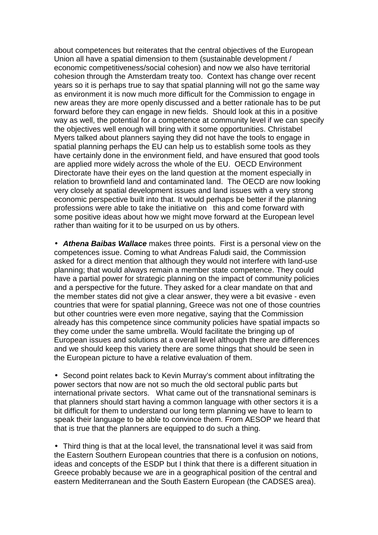about competences but reiterates that the central objectives of the European Union all have a spatial dimension to them (sustainable development / economic competitiveness/social cohesion) and now we also have territorial cohesion through the Amsterdam treaty too. Context has change over recent years so it is perhaps true to say that spatial planning will not go the same way as environment it is now much more difficult for the Commission to engage in new areas they are more openly discussed and a better rationale has to be put forward before they can engage in new fields. Should look at this in a positive way as well, the potential for a competence at community level if we can specify the objectives well enough will bring with it some opportunities. Christabel Myers talked about planners saying they did not have the tools to engage in spatial planning perhaps the EU can help us to establish some tools as they have certainly done in the environment field, and have ensured that good tools are applied more widely across the whole of the EU. OECD Environment Directorate have their eyes on the land question at the moment especially in relation to brownfield land and contaminated land. The OECD are now looking very closely at spatial development issues and land issues with a very strong economic perspective built into that. It would perhaps be better if the planning professions were able to take the initiative on this and come forward with some positive ideas about how we might move forward at the European level rather than waiting for it to be usurped on us by others.

• *Athena Baibas Wallace* makes three points. First is a personal view on the competences issue. Coming to what Andreas Faludi said, the Commission asked for a direct mention that although they would not interfere with land-use planning; that would always remain a member state competence. They could have a partial power for strategic planning on the impact of community policies and a perspective for the future. They asked for a clear mandate on that and the member states did not give a clear answer, they were a bit evasive - even countries that were for spatial planning, Greece was not one of those countries but other countries were even more negative, saying that the Commission already has this competence since community policies have spatial impacts so they come under the same umbrella. Would facilitate the bringing up of European issues and solutions at a overall level although there are differences and we should keep this variety there are some things that should be seen in the European picture to have a relative evaluation of them.

• Second point relates back to Kevin Murray's comment about infiltrating the power sectors that now are not so much the old sectoral public parts but international private sectors. What came out of the transnational seminars is that planners should start having a common language with other sectors it is a bit difficult for them to understand our long term planning we have to learn to speak their language to be able to convince them. From AESOP we heard that that is true that the planners are equipped to do such a thing.

• Third thing is that at the local level, the transnational level it was said from the Eastern Southern European countries that there is a confusion on notions, ideas and concepts of the ESDP but I think that there is a different situation in Greece probably because we are in a geographical position of the central and eastern Mediterranean and the South Eastern European (the CADSES area).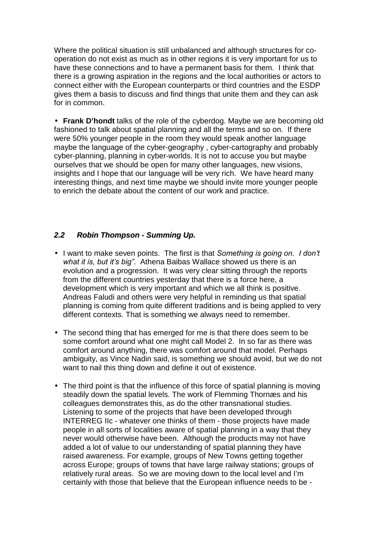<span id="page-64-0"></span>Where the political situation is still unbalanced and although structures for cooperation do not exist as much as in other regions it is very important for us to have these connections and to have a permanent basis for them. I think that there is a growing aspiration in the regions and the local authorities or actors to connect either with the European counterparts or third countries and the ESDP gives them a basis to discuss and find things that unite them and they can ask for in common.

• **Frank D'hondt** talks of the role of the cyberdog. Maybe we are becoming old fashioned to talk about spatial planning and all the terms and so on. If there were 50% younger people in the room they would speak another language maybe the language of the cyber-geography , cyber-cartography and probably cyber-planning, planning in cyber-worlds. It is not to accuse you but maybe ourselves that we should be open for many other languages, new visions, insights and I hope that our language will be very rich. We have heard many interesting things, and next time maybe we should invite more younger people to enrich the debate about the content of our work and practice.

## *2.2 Robin Thompson - Summing Up.*

- I want to make seven points. The first is that *Something is going on. I donít what it is, but itís bigî*. Athena Baibas Wallace showed us there is an evolution and a progression. It was very clear sitting through the reports from the different countries yesterday that there is a force here, a development which is very important and which we all think is positive. Andreas Faludi and others were very helpful in reminding us that spatial planning is coming from quite different traditions and is being applied to very different contexts. That is something we always need to remember.
- The second thing that has emerged for me is that there does seem to be some comfort around what one might call Model 2. In so far as there was comfort around anything, there was comfort around that model. Perhaps ambiguity, as Vince Nadin said, is something we should avoid, but we do not want to nail this thing down and define it out of existence.
- The third point is that the influence of this force of spatial planning is moving steadily down the spatial levels. The work of Flemming Thornæs and his colleagues demonstrates this, as do the other transnational studies. Listening to some of the projects that have been developed through INTERREG IIc - whatever one thinks of them - those projects have made people in all sorts of localities aware of spatial planning in a way that they never would otherwise have been. Although the products may not have added a lot of value to our understanding of spatial planning they have raised awareness. For example, groups of New Towns getting together across Europe; groups of towns that have large railway stations; groups of relatively rural areas. So we are moving down to the local level and I'm certainly with those that believe that the European influence needs to be -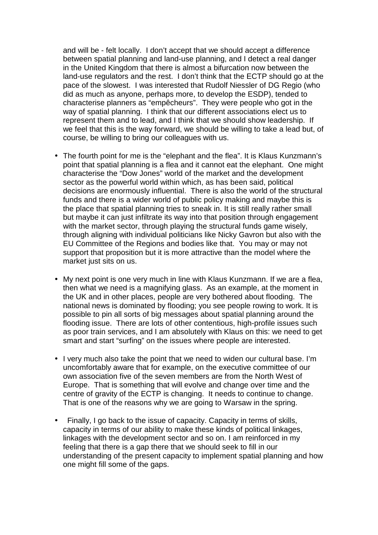and will be - felt locally. I don't accept that we should accept a difference between spatial planning and land-use planning, and I detect a real danger in the United Kingdom that there is almost a bifurcation now between the land-use regulators and the rest. I don't think that the ECTP should go at the pace of the slowest. I was interested that Rudolf Niessler of DG Regio (who did as much as anyone, perhaps more, to develop the ESDP), tended to characterise planners as "empêcheurs". They were people who got in the way of spatial planning. I think that our different associations elect us to represent them and to lead, and I think that we should show leadership. If we feel that this is the way forward, we should be willing to take a lead but, of course, be willing to bring our colleagues with us.

- The fourth point for me is the "elephant and the flea". It is Klaus Kunzmann's point that spatial planning is a flea and it cannot eat the elephant. One might characterise the "Dow Jones" world of the market and the development sector as the powerful world within which, as has been said, political decisions are enormously influential. There is also the world of the structural funds and there is a wider world of public policy making and maybe this is the place that spatial planning tries to sneak in. It is still really rather small but maybe it can just infiltrate its way into that position through engagement with the market sector, through playing the structural funds game wisely, through aligning with individual politicians like Nicky Gavron but also with the EU Committee of the Regions and bodies like that. You may or may not support that proposition but it is more attractive than the model where the market just sits on us.
- My next point is one very much in line with Klaus Kunzmann. If we are a flea, then what we need is a magnifying glass. As an example, at the moment in the UK and in other places, people are very bothered about flooding. The national news is dominated by flooding; you see people rowing to work. It is possible to pin all sorts of big messages about spatial planning around the flooding issue. There are lots of other contentious, high-profile issues such as poor train services, and I am absolutely with Klaus on this: we need to get smart and start "surfing" on the issues where people are interested.
- I very much also take the point that we need to widen our cultural base. I'm uncomfortably aware that for example, on the executive committee of our own association five of the seven members are from the North West of Europe. That is something that will evolve and change over time and the centre of gravity of the ECTP is changing. It needs to continue to change. That is one of the reasons why we are going to Warsaw in the spring.
- Finally, I go back to the issue of capacity. Capacity in terms of skills, capacity in terms of our ability to make these kinds of political linkages, linkages with the development sector and so on. I am reinforced in my feeling that there is a gap there that we should seek to fill in our understanding of the present capacity to implement spatial planning and how one might fill some of the gaps.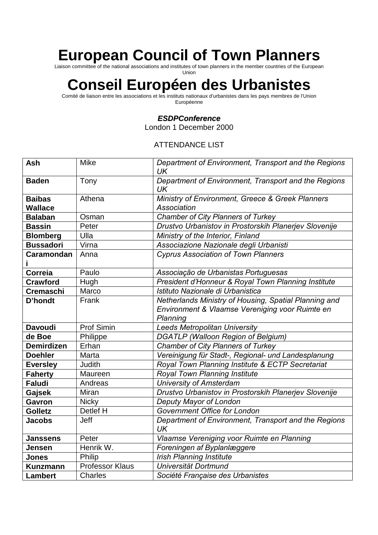# **European Council of Town Planners**

Liaison committee of the national associations and institutes of town planners in the member countries of the European Union

# **Conseil Européen des Urbanistes**

Comité de liaison entre les associations et les instituts nationaux d'urbanistes dans les pays membres de l'Union Européenne

#### *ESDPConference*

London 1 December 2000

#### ATTENDANCE LIST

| <b>Ash</b>        | <b>Mike</b>            | Department of Environment, Transport and the Regions<br>UK        |
|-------------------|------------------------|-------------------------------------------------------------------|
| <b>Baden</b>      | Tony                   | Department of Environment, Transport and the Regions<br>UK        |
| <b>Baibas</b>     | Athena                 | Ministry of Environment, Greece & Greek Planners                  |
| Wallace           |                        | Association                                                       |
| <b>Balaban</b>    | Osman                  | <b>Chamber of City Planners of Turkey</b>                         |
| <b>Bassin</b>     | Peter                  | Drustvo Urbanistov in Prostorskih Planerjev Slovenije             |
| <b>Blomberg</b>   | Ulla                   | Ministry of the Interior, Finland                                 |
| <b>Bussadori</b>  | Virna                  | Associazione Nazionale degli Urbanisti                            |
| <b>Caramondan</b> | Anna                   | <b>Cyprus Association of Town Planners</b>                        |
| <b>Correia</b>    | Paulo                  | Associação de Urbanistas Portuguesas                              |
| <b>Crawford</b>   | Hugh                   | President d'Honneur & Royal Town Planning Institute               |
| <b>Cremaschi</b>  | Marco                  | Istituto Nazionale di Urbanistica                                 |
| <b>D'hondt</b>    | Frank                  | Netherlands Ministry of Housing, Spatial Planning and             |
|                   |                        | Environment & Vlaamse Vereniging voor Ruimte en<br>Planning       |
| <b>Davoudi</b>    | Prof Simin             | <b>Leeds Metropolitan University</b>                              |
| de Boe            | Philippe               | <b>DGATLP (Walloon Region of Belgium)</b>                         |
| <b>Demirdizen</b> | Erhan                  | Chamber of City Planners of Turkey                                |
| <b>Doehler</b>    | Marta                  | Vereinigung für Stadt-, Regional- und Landesplanung               |
| <b>Eversley</b>   | Judith                 | Royal Town Planning Institute & ECTP Secretariat                  |
| <b>Faherty</b>    | Maureen                | Royal Town Planning Institute                                     |
| <b>Faludi</b>     | Andreas                | <b>University of Amsterdam</b>                                    |
| Gajsek            | Miran                  | Drustvo Urbanistov in Prostorskih Planerjev Slovenije             |
| <b>Gavron</b>     | <b>Nicky</b>           | Deputy Mayor of London                                            |
| <b>Golletz</b>    | Detlef H               | Government Office for London                                      |
| <b>Jacobs</b>     | Jeff                   | Department of Environment, Transport and the Regions<br><b>UK</b> |
| <b>Janssens</b>   | Peter                  | Vlaamse Vereniging voor Ruimte en Planning                        |
| Jensen            | Henrik W.              | Foreningen af Byplanlæggere                                       |
| Jones             | Philip                 | <b>Irish Planning Institute</b>                                   |
| <b>Kunzmann</b>   | <b>Professor Klaus</b> | Universität Dortmund                                              |
| <b>Lambert</b>    | Charles                | Société Française des Urbanistes                                  |